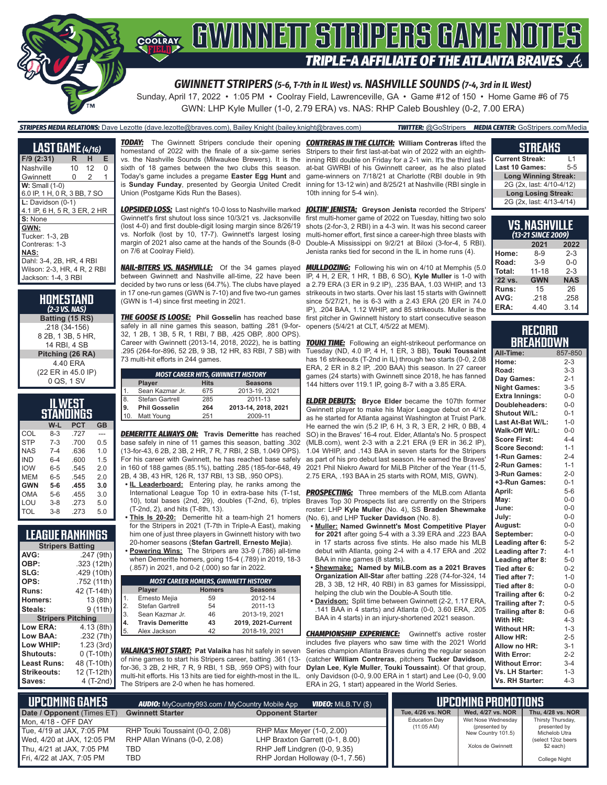

Sunday, April 17, 2022 • 1:05 PM • Coolray Field, Lawrenceville, GA • Game #12 of 150 • Home Game #6 of 75 GWN: LHP Kyle Muller (1-0, 2.79 ERA) vs. NAS: RHP Caleb Boushley (0-2, 7.00 ERA)

#### *STRIPERS MEDIA RELATIONS:* Dave Lezotte (dave.lezotte@braves.com), Bailey Knight (bailey.knight@braves.com) *TWITTER:* @GoStripers *MEDIA CENTER:* GoStripers.com/Media

| <b>LAST GAME</b> (4/16)      |    |       |   |
|------------------------------|----|-------|---|
| $F/9$ (2:31)                 | R. | H     | Е |
| Nashville                    |    | 10 12 | 0 |
| Gwinnett                     | 0  | 2     | 1 |
| $W:$ Small $(1-0)$           |    |       |   |
| 6.0 IP, 1 H, 0 R, 3 BB, 7 SO |    |       |   |
| $L:$ Davidson $(0-1)$        |    |       |   |
| 4.1 IP, 6 H, 5 R, 3 ER, 2 HR |    |       |   |
| S: None                      |    |       |   |
| GWN:                         |    |       |   |
| Tucker: 1-3, 2B              |    |       |   |
| Contreras: 1-3               |    |       |   |
| NAS:                         |    |       |   |
| Dahl: 3-4, 2B, HR, 4 RBI     |    |       |   |
| Wilson: 2-3, HR, 4 R, 2 RBI  |    |       |   |
| Jackson: 1-4, 3 RBI          |    |       |   |

**HOMESTAND** *(2-3 VS. NAS)* **Batting (15 RS)** .218 (34-156) 8 2B, 1 3B, 5 HR, 14 RBI, 4 SB **Pitching (26 RA)** 4.40 ERA (22 ER in 45.0 IP) 0 QS, 1 SV

| IL WEST<br>STANDINGS           |         |      |     |  |  |  |  |  |
|--------------------------------|---------|------|-----|--|--|--|--|--|
| <b>PCT</b><br>W-L<br><b>GB</b> |         |      |     |  |  |  |  |  |
| COL                            | $8-3$   | .727 |     |  |  |  |  |  |
| <b>STP</b>                     | $7 - 3$ | .700 | 0.5 |  |  |  |  |  |
| NAS.                           | $7 - 4$ | .636 | 1.0 |  |  |  |  |  |
| <b>IND</b>                     | $6 - 4$ | .600 | 1.5 |  |  |  |  |  |
| <b>IOW</b>                     | $6 - 5$ | .545 | 20  |  |  |  |  |  |
| <b>MFM</b>                     | $6 - 5$ | .545 | 20  |  |  |  |  |  |
| <b>GWN</b>                     | $5 - 6$ | .455 | 3.0 |  |  |  |  |  |
| <b>OMA</b>                     | $5 - 6$ | .455 | 3.0 |  |  |  |  |  |
| LOU                            | $3 - 8$ | .273 | 5.0 |  |  |  |  |  |
| TOL                            | $3 - 8$ | 273  | 5.0 |  |  |  |  |  |

### **LEAGUE RANKINGS**

|                          | <b>Stripers Batting</b> |  |  |  |  |  |  |
|--------------------------|-------------------------|--|--|--|--|--|--|
| AVG:                     | .247 (9th)              |  |  |  |  |  |  |
| OBP:                     | .323 (12th)             |  |  |  |  |  |  |
| SLG:                     | .429 (10th)             |  |  |  |  |  |  |
| OPS:                     | .752 (11th)             |  |  |  |  |  |  |
| Runs:                    | 42 (T-14th)             |  |  |  |  |  |  |
| Homers:                  | 13 (8th)                |  |  |  |  |  |  |
| Steals:                  | 9 (11th)                |  |  |  |  |  |  |
| <b>Stripers Pitching</b> |                         |  |  |  |  |  |  |
| Low ERA:                 | 4.13 (8th)              |  |  |  |  |  |  |
| Low BAA:                 | .232 (7th)              |  |  |  |  |  |  |
| Low WHIP:                | 1.23(3rd)               |  |  |  |  |  |  |
| Shutouts:                | 0 (T-10th)              |  |  |  |  |  |  |
| <b>Least Runs:</b>       | 48 (T-10th)             |  |  |  |  |  |  |
| <b>Strikeouts:</b>       | 12 (T-12th)             |  |  |  |  |  |  |
| Saves:                   | 4 (T-2nd)               |  |  |  |  |  |  |

homestand of 2022 with the finale of a six-game series vs. the Nashville Sounds (Milwaukee Brewers). It is the sixth of 18 games between the two clubs this season. Today's game includes a pregame **Easter Egg Hunt** and is **Sunday Funday**, presented by Georgia United Credit Union (Postgame Kids Run the Bases).

*LOPSIDED LOSS:* Last night's 10-0 loss to Nashville marked *JOLTIN' JENISTA:* **Greyson Jenista** recorded the Stripers' Gwinnett's first shutout loss since 10/3/21 vs. Jacksonville (lost 4-0) and first double-digit losing margin since 8/26/19 vs. Norfolk (lost by 10, 17-7). Gwinnett's largest losing margin of 2021 also came at the hands of the Sounds (8-0 on 7/6 at Coolray Field).

between Gwinnett and Nashville all-time, 22 have been decided by two runs or less (64.7%). The clubs have played in 17 one-run games (GWN is 7-10) and five two-run games (GWN is 1-4) since first meeting in 2021.

safely in all nine games this season, batting .281 (9-for-32, 1 2B, 1 3B, 5 R, 1 RBI, 7 BB, .425 OBP, .800 OPS). Career with Gwinnett (2013-14, 2018, 2022), he is batting *TOUKI TIME:* Following an eight-strikeout performance on .295 (264-for-896, 52 2B, 9 3B, 12 HR, 83 RBI, 7 SB) with 73 multi-hit efforts in 244 games.

|     | <b>MOST CAREER HITS, GWINNETT HISTORY</b> |     |                     |  |  |  |  |  |  |  |
|-----|-------------------------------------------|-----|---------------------|--|--|--|--|--|--|--|
|     | <b>Seasons</b><br><b>Hits</b><br>Player   |     |                     |  |  |  |  |  |  |  |
| 1.  | Sean Kazmar Jr.                           | 675 | 2013-19, 2021       |  |  |  |  |  |  |  |
| 8.  | Stefan Gartrell                           | 285 | 2011-13             |  |  |  |  |  |  |  |
| .9. | <b>Phil Gosselin</b>                      | 264 | 2013-14, 2018, 2021 |  |  |  |  |  |  |  |
| 10. | Matt Young                                | 251 | 2009-11             |  |  |  |  |  |  |  |

*DEMERITTE ALWAYS ON:* **Travis Demeritte** has reached base safely in nine of 11 games this season, batting .302 (13-for-43, 6 2B, 2 3B, 2 HR, 7 R, 7 RBI, 2 SB, 1.049 OPS). For his career with Gwinnett, he has reached base safely in 160 of 188 games (85.1%), batting .285 (185-for-648, 49 2B, 4 3B, 43 HR, 126 R, 137 RBI, 13 SB, .950 OPS).

- **• IL Leaderboard:** Entering play, he ranks among the International League Top 10 in extra-base hits (T-1st, 10), total bases (2nd, 29), doubles (T-2nd, 6), triples (T-2nd, 2), and hits (T-8th, 13).
- **• This Is 20-20:** Demeritte hit a team-high 21 homers for the Stripers in 2021 (T-7th in Triple-A East), making him one of just three players in Gwinnett history with two
- 20-homer seasons (**Stefan Gartrell**, **Ernesto Mejia**). **• Powering Wins:** The Stripers are 33-9 (.786) all-time
- when Demeritte homers, going 15-4 (.789) in 2019, 18-3 (.857) in 2021, and 0-2 (.000) so far in 2022. *MOST CAREER HOMERS, GWINNETT HISTORY*

|            | <b><i>MUSI CAREER HOMERS, GWINNETT HISTORY</i></b> |                |                    |  |  |  |  |  |  |
|------------|----------------------------------------------------|----------------|--------------------|--|--|--|--|--|--|
|            | <b>Player</b>                                      | <b>Seasons</b> |                    |  |  |  |  |  |  |
|            | Ernesto Mejia                                      | 59             | 2012-14            |  |  |  |  |  |  |
| $\vert$ 2. | Stefan Gartrell                                    | 54             | 2011-13            |  |  |  |  |  |  |
| 13.        | Sean Kazmar Jr.                                    | 46             | 2013-19, 2021      |  |  |  |  |  |  |
| 14.        | <b>Travis Demeritte</b>                            | 43             | 2019, 2021-Current |  |  |  |  |  |  |
| 15.        | Alex Jackson                                       | 42             | 2018-19, 2021      |  |  |  |  |  |  |

*VALAIKA'S HOT START:* **Pat Valaika** has hit safely in seven of nine games to start his Stripers career, batting .361 (13 for-36, 3 2B, 2 HR, 7 R, 9 RBI, 1 SB, .959 OPS) with four multi-hit efforts. His 13 hits are tied for eighth-most in the IL. The Stripers are 2-0 when he has homered.

*TODAY:* The Gwinnett Stripers conclude their opening *CONTRERAS IN THE CLUTCH:* **William Contreras** lifted the Stripers to their first last-at-bat win of 2022 with an eighthinning RBI double on Friday for a 2-1 win. It's the third lastat-bat GWRBI of his Gwinnett career, as he also plated game-winners on 7/18/21 at Charlotte (RBI double in 9th inning for 13-12 win) and 8/25/21 at Nashville (RBI single in 10th inning for 5-4 win).

> first multi-homer game of 2022 on Tuesday, hitting two solo shots (2-for-3, 2 RBI) in a 4-3 win. It was his second career multi-homer effort, first since a career-high three blasts with Double-A Mississippi on 9/2/21 at Biloxi (3-for-4, 5 RBI). Jenista ranks tied for second in the IL in home runs (4).

*NAIL-BITERS VS. NASHVILLE:* Of the 34 games played *MULLDOZING:* Following his win on 4/10 at Memphis (5.0 *THE GOOSE IS LOOSE:* **Phil Gosselin** has reached base first pitcher in Gwinnett history to start consecutive season IP, 4 H, 2 ER, 1 HR, 1 BB, 6 SO), **Kyle Muller** is 1-0 with a 2.79 ERA (3 ER in 9.2 IP), .235 BAA, 1.03 WHIP, and 13 strikeouts in two starts. Over his last 15 starts with Gwinnett since 5/27/21, he is 6-3 with a 2.43 ERA (20 ER in 74.0 IP), .204 BAA, 1.12 WHIP, and 85 strikeouts. Muller is the openers (5/4/21 at CLT, 4/5/22 at MEM).

> Tuesday (ND, 4.0 IP, 4 H, 1 ER, 3 BB), **Touki Toussaint** has 16 strikeouts (T-2nd in IL) through two starts (0-0, 2.08 ERA, 2 ER in 8.2 IP, .200 BAA) this season. In 27 career games (24 starts) with Gwinnett since 2018, he has fanned 144 hitters over 119.1 IP, going 8-7 with a 3.85 ERA.

> *ELDER DEBUTS:* **Bryce Elder** became the 107th former Gwinnett player to make his Major League debut on 4/12 as he started for Atlanta against Washington at Truist Park. He earned the win (5.2 IP, 6 H, 3 R, 3 ER, 2 HR, 0 BB, 4 SO) in the Braves' 16-4 rout. Elder, Atlanta's No. 5 prospect (MLB.com), went 2-3 with a 2.21 ERA (9 ER in 36.2 IP), 1.04 WHIP, and .143 BAA in seven starts for the Stripers as part of his pro debut last season. He earned the Braves' 2021 Phil Niekro Award for MiLB Pitcher of the Year (11-5, 2.75 ERA, .193 BAA in 25 starts with ROM, MIS, GWN).

> **PROSPECTING:** Three members of the MLB.com Atlanta Braves Top 30 Prospects list are currently on the Stripers roster: LHP **Kyle Muller** (No. 4), SS **Braden Shewmake**  (No. 6), and LHP **Tucker Davidson** (No. 8).

- **• Muller: Named Gwinnett's Most Competitive Player for 2021** after going 5-4 with a 3.39 ERA and .223 BAA in 17 starts across five stints. He also made his MLB debut with Atlanta, going 2-4 with a 4.17 ERA and .202 BAA in nine games (8 starts).
- **• Shewmake: Named by MiLB.com as a 2021 Braves Organization All-Star** after batting .228 (74-for-324, 14 2B, 3 3B, 12 HR, 40 RBI) in 83 games for Mississippi, helping the club win the Double-A South title.
- **• Davidson:** Split time between Gwinnett (2-2, 1.17 ERA, .141 BAA in 4 starts) and Atlanta (0-0, 3.60 ERA, .205 BAA in 4 starts) in an injury-shortened 2021 season.

**CHAMPIONSHIP EXPERIENCE:** Gwinnett's active roster includes five players who saw time with the 2021 World Series champion Atlanta Braves during the regular season (catcher **William Contreras**, pitchers **Tucker Davidson**, **Dylan Lee**, **Kyle Muller**, **Touki Toussaint**). Of that group, only Davidson (0-0, 9.00 ERA in 1 start) and Lee (0-0, 9.00 ERA in 2G, 1 start) appeared in the World Series.

#### **STREAKS**

| <b>Current Streak:</b><br>$\overline{11}$ |
|-------------------------------------------|
| Last 10 Games:<br>$5 - 5$                 |
| <b>Long Winning Streak:</b>               |
| 2G (2x, last: 4/10-4/12)                  |
| <b>Long Losing Streak:</b>                |
| 2G (2x, last: 4/13-4/14)                  |

| VS.NASHVILLE<br>(13-21 SINCE 2009) |            |            |  |  |  |  |  |  |  |
|------------------------------------|------------|------------|--|--|--|--|--|--|--|
| 2021<br>2022                       |            |            |  |  |  |  |  |  |  |
| Home:                              | $8 - 9$    | $2 - 3$    |  |  |  |  |  |  |  |
| Road:                              | $3-9$      | $0 - 0$    |  |  |  |  |  |  |  |
| Total:                             | $11 - 18$  | $2 - 3$    |  |  |  |  |  |  |  |
| '22 vs.                            | <b>GWN</b> | <b>NAS</b> |  |  |  |  |  |  |  |
| Runs:                              | 15         | 26         |  |  |  |  |  |  |  |
| AVG:                               | .218       | .258       |  |  |  |  |  |  |  |
| ERA:                               | 4.40       | 3.14       |  |  |  |  |  |  |  |

#### **RECORD RRFAKNOWN**

| All-Time:             | 857-850 |
|-----------------------|---------|
| Home:                 | $2 - 3$ |
| Road:                 | $3 - 3$ |
| Day Games:            | $2 - 1$ |
| <b>Night Games:</b>   | $3 - 5$ |
| <b>Extra Innings:</b> | $0 - 0$ |
| Doubleheaders:        | $0 - 0$ |
| <b>Shutout W/L:</b>   | $0 - 1$ |
| Last At-Bat W/L:      | $1 - 0$ |
| Walk-Off W/L:         | $0-0$   |
| <b>Score First:</b>   | $4 - 4$ |
| <b>Score Second:</b>  | $1 - 1$ |
| 1-Run Games:          | $2 - 4$ |
| 2-Run Games:          | $1 - 1$ |
| 3-Run Games:          | $2 - 0$ |
| +3-Run Games:         | $0 - 1$ |
| April:                | $5 - 6$ |
| May:                  | $0 - 0$ |
| June:                 | $0 - 0$ |
| July:                 | $0-0$   |
| August:               | $0-0$   |
| September:            | $0 - 0$ |
| Leading after 6:      | $5-2$   |
| Leading after 7:      | $4 - 1$ |
| Leading after 8:      | $5-0$   |
| Tied after 6:         | $0 - 2$ |
| Tied after 7:         | $1 - 0$ |
| Tied after 8:         | $0 - 0$ |
| Trailing after 6:     | $0 - 2$ |
| Trailing after 7:     | $0 - 5$ |
| Trailing after 8:     | $0 - 6$ |
| With HR:              | $4 - 3$ |
| <b>Without HR:</b>    | $1 - 3$ |
| <b>Allow HR:</b>      | $2 - 5$ |
| Allow no HR:          | $3-1$   |
| <b>With Error:</b>    | $2 - 2$ |
| <b>Without Error:</b> | $3 - 4$ |
| Vs. LH Starter:       | $1 - 3$ |
| Vs. RH Starter:       | $4 - 3$ |

| <b>UPCOMING GAMES</b>      | <b>AUDIO:</b> MyCountry993.com / MyCountry Mobile App |                                 | UPCOMING PROMOTIONS  |                                     |                               |
|----------------------------|-------------------------------------------------------|---------------------------------|----------------------|-------------------------------------|-------------------------------|
| Date / Opponent (Times ET) | <b>Gwinnett Starter</b>                               | <b>Opponent Starter</b>         | Tue, 4/26 vs. NOR    | Wed, 4/27 vs. NOR                   | Thu. 4/28 vs. NOR             |
| l Mon. 4/18 - OFF DAY      |                                                       |                                 | <b>Education Day</b> | Wet Nose Wednesday                  | Thirsty Thursday,             |
| Tue, 4/19 at JAX, 7:05 PM  | RHP Touki Toussaint (0-0, 2.08)                       | RHP Max Meyer (1-0, 2.00)       | $(11:05 \text{ AM})$ | (presented by<br>New Country 101.5) | presented by<br>Michelob Utra |
| Wed, 4/20 at JAX, 12:05 PM | RHP Allan Winans (0-0, 2.08)                          | LHP Braxton Garrett (0-1, 8.00) |                      |                                     | (select 12oz beers)           |
| Thu, 4/21 at JAX, 7:05 PM  | TBD                                                   | RHP Jeff Lindgren (0-0, 9.35)   |                      | Xolos de Gwinnett                   | $$2$ each)                    |
| Fri, 4/22 at JAX, 7:05 PM  | TBD                                                   | RHP Jordan Holloway (0-1, 7.56) |                      |                                     | College Night                 |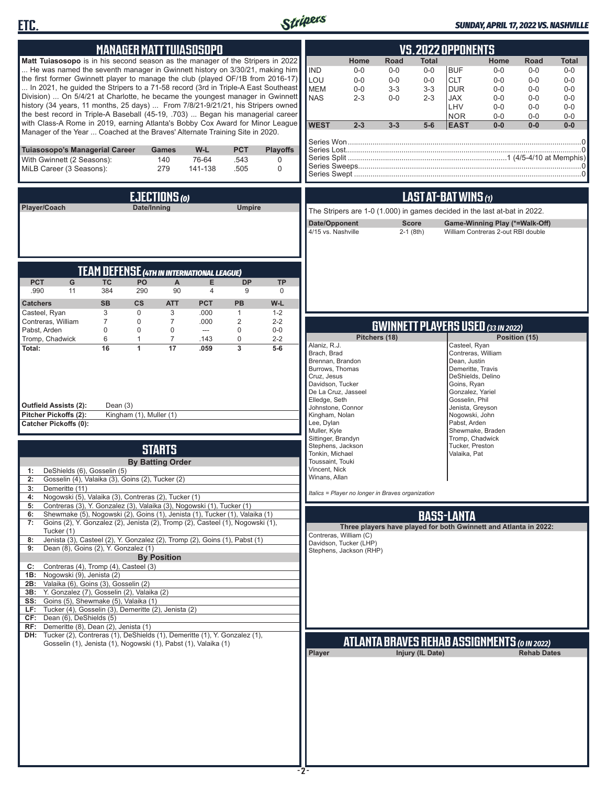



#### *SUNDAY, APRIL 17, 2022 VS. NASHVILLE*

| <b>MANAGER MATT TUIASOSOPO</b>                                                                                                                                                                                                                                                                                                                                                                                                                                                                                                                                                                                                                                                                                                                                                                                                                                                                                                                                                                                                                                                                                                                                                                                     |                                                                                        |                                         |                                               | <b>VS. 2022 OPPONENTS</b>                                                                                                                                                                                                                                                                                      |                                                                                                                         |                                                               |                                                                                                                                                                                                                     |                                                                     |                                                                       |                                                                               |
|--------------------------------------------------------------------------------------------------------------------------------------------------------------------------------------------------------------------------------------------------------------------------------------------------------------------------------------------------------------------------------------------------------------------------------------------------------------------------------------------------------------------------------------------------------------------------------------------------------------------------------------------------------------------------------------------------------------------------------------------------------------------------------------------------------------------------------------------------------------------------------------------------------------------------------------------------------------------------------------------------------------------------------------------------------------------------------------------------------------------------------------------------------------------------------------------------------------------|----------------------------------------------------------------------------------------|-----------------------------------------|-----------------------------------------------|----------------------------------------------------------------------------------------------------------------------------------------------------------------------------------------------------------------------------------------------------------------------------------------------------------------|-------------------------------------------------------------------------------------------------------------------------|---------------------------------------------------------------|---------------------------------------------------------------------------------------------------------------------------------------------------------------------------------------------------------------------|---------------------------------------------------------------------|-----------------------------------------------------------------------|-------------------------------------------------------------------------------|
| Matt Tuiasosopo is in his second season as the manager of the Stripers in 2022<br>He was named the seventh manager in Gwinnett history on 3/30/21, making him<br>the first former Gwinnett player to manage the club (played OF/1B from 2016-17)<br>In 2021, he guided the Stripers to a 71-58 record (3rd in Triple-A East Southeast<br>Division)  On 5/4/21 at Charlotte, he became the youngest manager in Gwinnett<br>history (34 years, 11 months, 25 days)  From 7/8/21-9/21/21, his Stripers owned<br>the best record in Triple-A Baseball (45-19, .703)  Began his managerial career<br>with Class-A Rome in 2019, earning Atlanta's Bobby Cox Award for Minor League<br>Manager of the Year  Coached at the Braves' Alternate Training Site in 2020.                                                                                                                                                                                                                                                                                                                                                                                                                                                      |                                                                                        |                                         |                                               | <b>IND</b><br>LOU<br><b>MEM</b><br><b>NAS</b><br><b>WEST</b>                                                                                                                                                                                                                                                   | Home<br>Road<br>$0-0$<br>$0-0$<br>$0 - 0$<br>$0 - 0$<br>$0-0$<br>$3 - 3$<br>$2 - 3$<br>$0 - 0$<br>$2 - 3$<br>$3 - 3$    | <b>Total</b><br>$0-0$<br>$0-0$<br>$3 - 3$<br>$2 - 3$<br>$5-6$ | <b>BUF</b><br><b>CLT</b><br><b>DUR</b><br><b>JAX</b><br>LHV<br><b>NOR</b><br><b>EAST</b>                                                                                                                            | Home<br>$0-0$<br>$0-0$<br>$0-0$<br>$0-0$<br>$0-0$<br>$0-0$<br>$0-0$ | Road<br>$0-0$<br>$0-0$<br>$0-0$<br>$0-0$<br>$0 - 0$<br>$0-0$<br>$0-0$ | <b>Total</b><br>$0-0$<br>$0 - 0$<br>$0-0$<br>$0-0$<br>$0-0$<br>$0-0$<br>$0-0$ |
| Tuiasosopo's Managerial Career<br>With Gwinnett (2 Seasons):<br>MiLB Career (3 Seasons):                                                                                                                                                                                                                                                                                                                                                                                                                                                                                                                                                                                                                                                                                                                                                                                                                                                                                                                                                                                                                                                                                                                           | W-L<br>Games<br>140<br>76-64<br>279<br>141-138                                         | <b>PCT</b><br>.543<br>.505              | <b>Playoffs</b><br>$\mathbf 0$<br>$\mathbf 0$ |                                                                                                                                                                                                                                                                                                                |                                                                                                                         |                                                               |                                                                                                                                                                                                                     |                                                                     |                                                                       |                                                                               |
| Player/Coach                                                                                                                                                                                                                                                                                                                                                                                                                                                                                                                                                                                                                                                                                                                                                                                                                                                                                                                                                                                                                                                                                                                                                                                                       | EJECTIONS (0)<br>Date/Inning                                                           | <b>Umpire</b>                           |                                               | The Stripers are 1-0 (1.000) in games decided in the last at-bat in 2022.<br>Date/Opponent<br>4/15 vs. Nashville                                                                                                                                                                                               |                                                                                                                         | <b>Score</b><br>$2-1$ (8th)                                   | LAST AT-BAT WINS (1)                                                                                                                                                                                                | William Contreras 2-out RBI double                                  | Game-Winning Play (*=Walk-Off)                                        |                                                                               |
| <b>TEAM DEFENSE (4TH IN INTERNATIONAL LEAGUE)</b><br><b>PCT</b><br>G<br><b>TC</b><br><b>PO</b><br>384<br>.990<br>11<br>290<br><b>CS</b><br><b>SB</b><br><b>Catchers</b><br>3<br>$\mathbf 0$<br>Casteel, Ryan                                                                                                                                                                                                                                                                                                                                                                                                                                                                                                                                                                                                                                                                                                                                                                                                                                                                                                                                                                                                       | A<br>E.<br>90<br>$\overline{4}$<br><b>PCT</b><br><b>ATT</b><br>3<br>.000               | <b>DP</b><br>9<br>PB<br>$\mathbf{1}$    | <b>TP</b><br>0<br>W-L<br>$1 - 2$              |                                                                                                                                                                                                                                                                                                                |                                                                                                                         |                                                               |                                                                                                                                                                                                                     |                                                                     |                                                                       |                                                                               |
| Contreras, William<br>7<br>0<br>Pabst, Arden<br>$\mathbf 0$<br>$\mathbf 0$<br>Tromp, Chadwick<br>6<br>$\mathbf{1}$<br>16<br>Total:<br>1<br>Outfield Assists (2):<br>Dean $(3)$                                                                                                                                                                                                                                                                                                                                                                                                                                                                                                                                                                                                                                                                                                                                                                                                                                                                                                                                                                                                                                     | $\overline{7}$<br>.000<br>$\mathbf 0$<br>$---$<br>$\overline{7}$<br>.143<br>17<br>.059 | $\overline{2}$<br>$\mathbf 0$<br>0<br>3 | $2 - 2$<br>$0 - 0$<br>$2 - 2$<br>$5-6$        | Alaniz, R.J.<br>Brach, Brad<br>Brennan, Brandon<br>Burrows, Thomas<br>Cruz, Jesus<br>Davidson, Tucker<br>De La Cruz, Jasseel<br>Elledge, Seth<br>Johnstone, Connor                                                                                                                                             | Pitchers (18)                                                                                                           |                                                               | <b>GWINNETT PLAYERS USED (33 IN 2022)</b><br>Casteel, Ryan<br>Contreras, William<br>Dean, Justin<br>Demeritte, Travis<br>DeShields, Delino<br>Goins, Ryan<br>Gonzalez, Yariel<br>Gosselin, Phil<br>Jenista, Greyson |                                                                     | Position (15)                                                         |                                                                               |
| Pitcher Pickoffs (2):<br>Kingham (1), Muller (1)<br><b>Catcher Pickoffs (0):</b><br>DeShields (6), Gosselin (5)<br>1:<br>2: Gosselin (4), Valaika (3), Goins (2), Tucker (2)<br>3:<br>Demeritte (11)<br>Nogowski (5), Valaika (3), Contreras (2), Tucker (1)<br>4:<br>Contreras (3), Y. Gonzalez (3), Valaika (3), Nogowski (1), Tucker (1)<br>5:<br>Shewmake (5), Nogowski (2), Goins (1), Jenista (1), Tucker (1), Valaika (1)<br>6:<br>Goins (2), Y. Gonzalez (2), Jenista (2), Tromp (2), Casteel (1), Nogowski (1),<br>7:<br>Tucker (1)<br>Jenista (3), Casteel (2), Y. Gonzalez (2), Tromp (2), Goins (1), Pabst (1)<br>8:<br>9:<br>Dean (8), Goins (2), Y. Gonzalez (1)<br>Contreras (4), Tromp (4), Casteel (3)<br>C:<br>Nogowski (9), Jenista (2)<br>1B:<br>Valaika (6), Goins (3), Gosselin (2)<br>2B:<br>3B: Y. Gonzalez (7), Gosselin (2), Valaika (2)<br>SS: Goins (5), Shewmake (5), Valaika (1)<br>Tucker (4), Gosselin (3), Demeritte (2), Jenista (2)<br>LF:<br>Dean (6), DeShields (5)<br>CF:<br>Demeritte (8), Dean (2), Jenista (1)<br>RF:<br>DH: Tucker (2), Contreras (1), DeShields (1), Demeritte (1), Y. Gonzalez (1),<br>Gosselin (1), Jenista (1), Nogowski (1), Pabst (1), Valaika (1) | <b>STARTS</b><br><b>By Batting Order</b><br><b>By Position</b>                         |                                         |                                               | Kingham, Nolan<br>Lee, Dylan<br>Muller, Kyle<br>Sittinger, Brandyn<br>Stephens, Jackson<br>Tonkin, Michael<br>Toussaint, Touki<br>Vincent, Nick<br>Winans, Allan<br>Italics = Player no longer in Braves organization<br>Contreras, William (C)<br>Davidson, Tucker (LHP)<br>Stephens, Jackson (RHP)<br>Player | Three players have played for both Gwinnett and Atlanta in 2022:<br><b>ATLANTA BRAVES REHAB ASSIGNMENTS (O IN 2022)</b> | Injury (IL Date)                                              | Nogowski, John<br>Pabst, Arden<br>Shewmake, Braden<br>Tromp, Chadwick<br>Tucker, Preston<br>Valaika, Pat<br><b>BASS-LANTA</b>                                                                                       |                                                                     | <b>Rehab Dates</b>                                                    |                                                                               |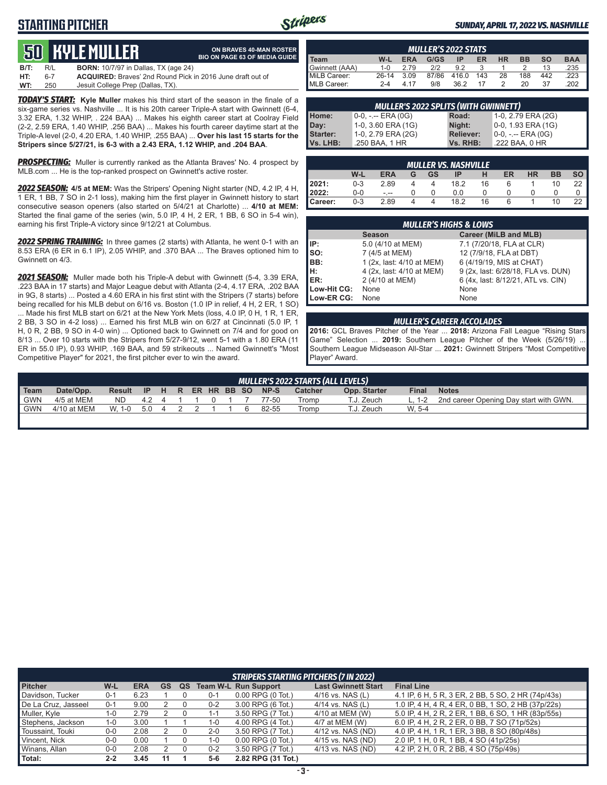## **STARTING PITCHER**



**ON BRAVES 40-MAN ROSTER**

#### *SUNDAY, APRIL 17, 2022 VS. NASHVILLE*

# **50****KYLE Muller**

|      |     | <b>JU NYLL MULLLEN</b>                      | <b>BIO ON PAGE 63 OF MEDIA GUIDE</b>                              |
|------|-----|---------------------------------------------|-------------------------------------------------------------------|
| B/T: | R/L | <b>BORN:</b> 10/7/97 in Dallas, TX (age 24) |                                                                   |
| HT:  | 6-7 |                                             | <b>ACQUIRED:</b> Braves' 2nd Round Pick in 2016 June draft out of |
| WT:  | 250 | Jesuit College Prep (Dallas, TX).           |                                                                   |

*TODAY'S START:* **Kyle Muller** makes his third start of the season in the finale of a six-game series vs. Nashville ... It is his 20th career Triple-A start with Gwinnett (6-4, 3.32 ERA, 1.32 WHIP, . 224 BAA) ... Makes his eighth career start at Coolray Field (2-2, 2.59 ERA, 1.40 WHIP, .256 BAA) ... Makes his fourth career daytime start at the Triple-A level (2-0, 4.20 ERA, 1.40 WHIP, .255 BAA) ... **Over his last 15 starts for the Stripers since 5/27/21, is 6-3 with a 2.43 ERA, 1.12 WHIP, and .204 BAA**.

**PROSPECTING:** Muller is currently ranked as the Atlanta Braves' No. 4 prospect by MLB.com ... He is the top-ranked prospect on Gwinnett's active roster.

*2022 SEASON:* **4/5 at MEM:** Was the Stripers' Opening Night starter (ND, 4.2 IP, 4 H, 1 ER, 1 BB, 7 SO in 2-1 loss), making him the first player in Gwinnett history to start consecutive season openers (also started on 5/4/21 at Charlotte) ... **4/10 at MEM:** Started the final game of the series (win, 5.0 IP, 4 H, 2 ER, 1 BB, 6 SO in 5-4 win), earning his first Triple-A victory since 9/12/21 at Columbus.

*2022 SPRING TRAINING:* In three games (2 starts) with Atlanta, he went 0-1 with an 8.53 ERA (6 ER in 6.1 IP), 2.05 WHIP, and .370 BAA ... The Braves optioned him to Gwinnett on 4/3.

*2021 SEASON:* Muller made both his Triple-A debut with Gwinnett (5-4, 3.39 ERA, .223 BAA in 17 starts) and Major League debut with Atlanta (2-4, 4.17 ERA, .202 BAA in 9G, 8 starts) ... Posted a 4.60 ERA in his first stint with the Stripers (7 starts) before being recalled for his MLB debut on 6/16 vs. Boston (1.0 IP in relief, 4 H, 2 ER, 1 SO) ... Made his first MLB start on 6/21 at the New York Mets (loss, 4.0 IP, 0 H, 1 R, 1 ER, 2 BB, 3 SO in 4-2 loss) ... Earned his first MLB win on 6/27 at Cincinnati (5.0 IP, 1 H, 0 R, 2 BB, 9 SO in 4-0 win) ... Optioned back to Gwinnett on 7/4 and for good on 8/13 ... Over 10 starts with the Stripers from 5/27-9/12, went 5-1 with a 1.80 ERA (11 ER in 55.0 IP), 0.93 WHIP, .169 BAA, and 59 strikeouts ... Named Gwinnett's "Most Competitive Player" for 2021, the first pitcher ever to win the award.

| <b>MULLER'S 2022 STATS</b>                                                                                |         |      |       |       |     |    |     |     |      |
|-----------------------------------------------------------------------------------------------------------|---------|------|-------|-------|-----|----|-----|-----|------|
| <b>BAA</b><br>G/GS<br><b>SO</b><br>W-L<br><b>HR</b><br><b>ERA</b><br>ER<br><b>BB</b><br><b>Team</b><br>IP |         |      |       |       |     |    |     |     |      |
| Gwinnett (AAA)                                                                                            | $1 - 0$ | 2.79 | 2/2   | 92    |     |    |     | 13  | .235 |
| MiLB Career:                                                                                              | $26-14$ | 3.09 | 87/86 | 416.0 | 143 | 28 | 188 | 442 | .223 |
| MLB Career:                                                                                               | $2 - 4$ | 4 17 | 9/8   | 36.2  | 17  |    | 20. | 37  | 202  |

| <b>MULLER'S 2022 SPLITS (WITH GWINNETT)</b> |                       |                  |                       |  |  |  |  |  |  |  |  |  |
|---------------------------------------------|-----------------------|------------------|-----------------------|--|--|--|--|--|--|--|--|--|
| Home:                                       | $0-0, - -$ ERA $(0G)$ | Road:            | 1-0, 2.79 ERA (2G)    |  |  |  |  |  |  |  |  |  |
| Day:                                        | 1-0, 3.60 ERA (1G)    | Night:           | 0-0, 1.93 ERA (1G)    |  |  |  |  |  |  |  |  |  |
| <b>Starter:</b>                             | 1-0, 2.79 ERA (2G)    | <b>Reliever:</b> | $0-0, - -$ ERA $(0G)$ |  |  |  |  |  |  |  |  |  |
| Vs. LHB:                                    | .250 BAA, 1 HR        | Vs. RHB:         | .222 BAA, 0 HR        |  |  |  |  |  |  |  |  |  |

|         | <b>MULLER VS. NASHVILLE</b> |            |   |           |      |    |    |           |           |           |  |  |  |  |
|---------|-----------------------------|------------|---|-----------|------|----|----|-----------|-----------|-----------|--|--|--|--|
|         | W-L                         | <b>ERA</b> | G | <b>GS</b> | IP   | н  | ER | <b>HR</b> | <b>BB</b> | <b>SO</b> |  |  |  |  |
| 2021:   | $0 - 3$                     | 2.89       |   |           | 18.2 | 16 | 6  |           | 10        | 22        |  |  |  |  |
| 2022:   | $0 - 0$                     | $ -$       |   |           | 0.0  |    |    |           |           |           |  |  |  |  |
| Career: | $0 - 3$                     | 2.89       |   |           | 18.2 | 16 | 6  |           | 10        | 22        |  |  |  |  |

|             |                           | <b>MULLER'S HIGHS &amp; LOWS</b>   |  |  |  |  |  |  |  |  |  |  |  |
|-------------|---------------------------|------------------------------------|--|--|--|--|--|--|--|--|--|--|--|
|             | <b>Season</b>             | Career (MiLB and MLB)              |  |  |  |  |  |  |  |  |  |  |  |
| l IP:       | 5.0 (4/10 at MEM)         | 7.1 (7/20/18, FLA at CLR)          |  |  |  |  |  |  |  |  |  |  |  |
| Iso:        | 7 (4/5 at MEM)            | 12 (7/9/18, FLA at DBT)            |  |  |  |  |  |  |  |  |  |  |  |
| IBB:        | 1 (2x, last: 4/10 at MEM) | 6 (4/19/19, MIS at CHAT)           |  |  |  |  |  |  |  |  |  |  |  |
| IH:         | 4 (2x, last: 4/10 at MEM) | 9 (2x, last: 6/28/18, FLA vs. DUN) |  |  |  |  |  |  |  |  |  |  |  |
| <b>IER:</b> | 2 (4/10 at MEM)           | 6 (4x, last: 8/12/21, ATL vs. CIN) |  |  |  |  |  |  |  |  |  |  |  |
| Low-Hit CG: | None                      | None                               |  |  |  |  |  |  |  |  |  |  |  |
| Low-ER CG:  | None                      | None                               |  |  |  |  |  |  |  |  |  |  |  |

#### *MULLER'S CAREER ACCOLADES*

**2016:** GCL Braves Pitcher of the Year ... **2018:** Arizona Fall League "Rising Stars Game" Selection ... **2019:** Southern League Pitcher of the Week (5/26/19) ... Southern League Midseason All-Star ... **2021:** Gwinnett Stripers "Most Competitive Player" Award.

|                  | MULLER'S 2022 STARTS (ALL LEVELS) |               |       |  |  |  |  |  |  |                  |         |              |              |                                        |
|------------------|-----------------------------------|---------------|-------|--|--|--|--|--|--|------------------|---------|--------------|--------------|----------------------------------------|
| l Team           | Date/Opp.                         | Result IP H R |       |  |  |  |  |  |  | ER HR BB SO NP-S | Catcher | Opp. Starter | <b>Final</b> | <b>Notes</b>                           |
| <sup>1</sup> GWN | 4/5 at MEM                        | ND -          | 424   |  |  |  |  |  |  | 77-50            | Tromp   | T.J. Zeuch   | L. $1-2$     | 2nd career Opening Day start with GWN. |
| l GWN            | 4/10 at MEM                       | W. 1-0        | 5.0 4 |  |  |  |  |  |  | 82-55            | Tromp   | T.J. Zeuch   | W. 5-4       |                                        |
|                  |                                   |               |       |  |  |  |  |  |  |                  |         |              |              |                                        |

|                     |         |            |    |    |         | STRIPERS STARTING PITCHERS (7 IN 2022) |                            |                                                    |
|---------------------|---------|------------|----|----|---------|----------------------------------------|----------------------------|----------------------------------------------------|
| <b>Pitcher</b>      | W-L     | <b>ERA</b> | GS | QS |         | <b>Team W-L Run Support</b>            | <b>Last Gwinnett Start</b> | <b>Final Line</b>                                  |
| Davidson, Tucker    | $0 - 1$ | 6.23       |    |    | 0-1     | $0.00$ RPG $(0$ Tot.)                  | $4/16$ vs. NAS (L)         | 4.1 IP, 6 H, 5 R, 3 ER, 2 BB, 5 SO, 2 HR (74p/43s) |
| De La Cruz, Jasseel | $0 - 1$ | 9.00       |    |    | $0 - 2$ | 3.00 RPG (6 Tot.)                      | 4/14 vs. NAS (L)           | 1.0 IP, 4 H, 4 R, 4 ER, 0 BB, 1 SO, 2 HB (37p/22s) |
| Muller, Kyle        | 1-0     | 2.79       |    |    | 1-1     | 3.50 RPG (7 Tot.)                      | 4/10 at MEM (W)            | 5.0 IP, 4 H, 2 R, 2 ER, 1 BB, 6 SO, 1 HR (83p/55s) |
| Stephens, Jackson   | 1-0     | 3.00       |    |    | 1-0     | 4.00 RPG (4 Tot.)                      | 4/7 at MEM (W)             | 6.0 IP, 4 H, 2 R, 2 ER, 0 BB, 7 SO (71p/52s)       |
| Toussaint, Touki    | $0-0$   | 2.08       |    |    | $2 - 0$ | 3.50 RPG (7 Tot.)                      | 4/12 vs. NAS (ND)          | 4.0 IP, 4 H, 1 R, 1 ER, 3 BB, 8 SO (80p/48s)       |
| Vincent, Nick       | $0-0$   | 0.00       |    |    | 1-0     | $0.00$ RPG $(0)$ Tot.)                 | 4/15 vs. NAS (ND)          | 2.0 IP, 1 H, 0 R, 1 BB, 4 SO (41p/25s)             |
| Winans, Allan       | $0-0$   | 2.08       |    |    | 0-2     | 3.50 RPG (7 Tot.)                      | 4/13 vs. NAS (ND)          | 4.2 IP, 2 H, 0 R, 2 BB, 4 SO (75p/49s)             |
| Total:              | $2 - 2$ | 3.45       |    |    | $5-6$   | 2.82 RPG (31 Tot.)                     |                            |                                                    |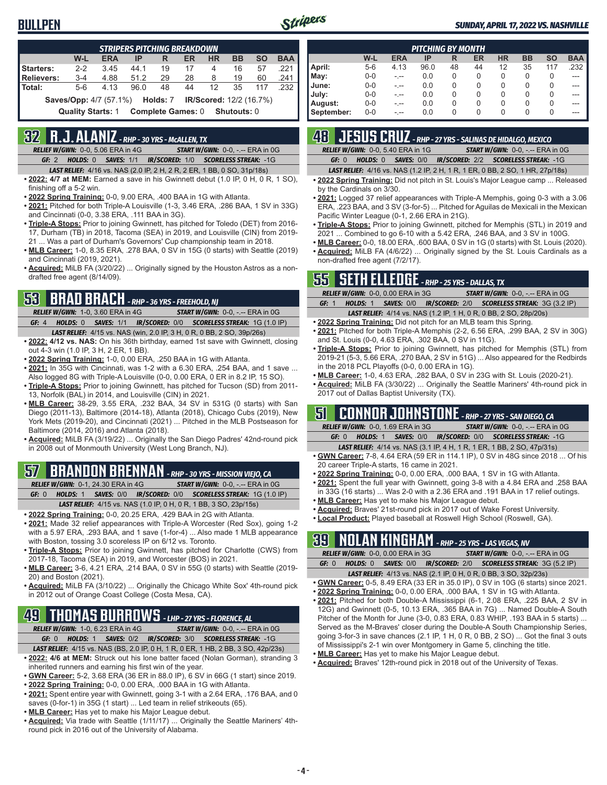

#### *SUNDAY, APRIL 17, 2022 VS. NASHVILLE*

|                   | <b>STRIPERS PITCHING BREAKDOWN</b>                                  |                                               |      |                          |    |    |             |                                |      |  |  |  |  |
|-------------------|---------------------------------------------------------------------|-----------------------------------------------|------|--------------------------|----|----|-------------|--------------------------------|------|--|--|--|--|
|                   | W-L<br><b>ERA</b><br>HR.<br><b>BB</b><br><b>SO</b><br>IP<br>ER<br>R |                                               |      |                          |    |    |             |                                |      |  |  |  |  |
| Starters:         | $2 - 2$                                                             | 3.45                                          | 44.1 | 19                       | 17 | 4  | 16          | 57                             | .221 |  |  |  |  |
| <b>Relievers:</b> | $3 - 4$                                                             | 4.88                                          | 51.2 | 29                       | 28 | 8  | 19          | 60                             | .241 |  |  |  |  |
| Total:            | $5-6$                                                               | 4 1 3                                         | 96.0 | 48                       | 44 | 12 | 35          | 117                            | .232 |  |  |  |  |
|                   |                                                                     | <b>Saves/Opp:</b> 4/7 (57.1%) <b>Holds:</b> 7 |      |                          |    |    |             | <b>IR/Scored:</b> 12/2 (16.7%) |      |  |  |  |  |
|                   | <b>Quality Starts: 1</b>                                            |                                               |      | <b>Complete Games: 0</b> |    |    | Shutouts: 0 |                                |      |  |  |  |  |

# **32 R.J. ALANIZ** *- RHP - 30 YRS - McALLEN, TX*

*RELIEF W/GWN:*0-0, 5.06 ERA in 4G *START W/GWN:*0-0, -.-- ERA in 0G *GF:*2 *HOLDS:*0 *SAVES:*1/1 *IR/SCORED:*1/0 *SCORELESS STREAK:*-1G

- *LAST RELIEF:*4/16 vs. NAS (2.0 IP, 2 H, 2 R, 2 ER, 1 BB, 0 SO, 31p/18s)
- **• 2022: 4/7 at MEM:** Earned a save in his Gwinnett debut (1.0 IP, 0 H, 0 R, 1 SO), finishing off a 5-2 win.
- **• 2022 Spring Training:** 0-0, 9.00 ERA, .400 BAA in 1G with Atlanta.
- **• 2021:** Pitched for both Triple-A Louisville (1-3, 3.46 ERA, .286 BAA, 1 SV in 33G) and Cincinnati (0-0, 3.38 ERA, .111 BAA in 3G).
- **• Triple-A Stops:** Prior to joining Gwinnett, has pitched for Toledo (DET) from 2016- 17, Durham (TB) in 2018, Tacoma (SEA) in 2019, and Louisville (CIN) from 2019- 21 ... Was a part of Durham's Governors' Cup championship team in 2018.
- **• MLB Career:** 1-0, 8.35 ERA, .278 BAA, 0 SV in 15G (0 starts) with Seattle (2019) and Cincinnati (2019, 2021).
- **• Acquired:** MiLB FA (3/20/22) ... Originally signed by the Houston Astros as a nondrafted free agent (8/14/09).

### **53 BRAD BRACH** *- RHP - 36 YRS - FREEHOLD, NJ*

*RELIEF W/GWN:*1-0, 3.60 ERA in 4G *START W/GWN:*0-0, -.-- ERA in 0G *GF:*4 *HOLDS:*0 *SAVES:*1/1 *IR/SCORED:*0/0 *SCORELESS STREAK:*1G (1.0 IP) *LAST RELIEF:*4/15 vs. NAS (win, 2.0 IP, 3 H, 0 R, 0 BB, 2 SO, 39p/26s)

- **• 2022: 4/12 vs. NAS:** On his 36th birthday, earned 1st save with Gwinnett, closing out 4-3 win (1.0 IP, 3 H, 2 ER, 1 BB).
- **• 2022 Spring Training:** 1-0, 0.00 ERA, .250 BAA in 1G with Atlanta.
- **• 2021:** In 35G with Cincinnati, was 1-2 with a 6.30 ERA, .254 BAA, and 1 save ... Also logged 8G with Triple-A Louisville (0-0, 0.00 ERA, 0 ER in 8.2 IP, 15 SO).
- **• Triple-A Stops:** Prior to joining Gwinnett, has pitched for Tucson (SD) from 2011- 13, Norfolk (BAL) in 2014, and Louisville (CIN) in 2021.
- **• MLB Career:** 38-29, 3.55 ERA, .232 BAA, 34 SV in 531G (0 starts) with San Diego (2011-13), Baltimore (2014-18), Atlanta (2018), Chicago Cubs (2019), New York Mets (2019-20), and Cincinnati (2021) ... Pitched in the MLB Postseason for Baltimore (2014, 2016) and Atlanta (2018).
- **• Acquired:** MiLB FA (3/19/22) ... Originally the San Diego Padres' 42nd-round pick in 2008 out of Monmouth University (West Long Branch, NJ).

### **57 BRANDON BRENNAN** *- RHP - 30 YRS - MISSION VIEJO, CA*

*RELIEF W/GWN:*0-1, 24.30 ERA in 4G *START W/GWN:*0-0, -.-- ERA in 0G

*GF:*0 *HOLDS:*1 *SAVES:*0/0 *IR/SCORED:*0/0 *SCORELESS STREAK:*1G (1.0 IP) *LAST RELIEF:*4/15 vs. NAS (1.0 IP, 0 H, 0 R, 1 BB, 3 SO, 23p/15s)

- **• 2022 Spring Training:** 0-0, 20.25 ERA, .429 BAA in 2G with Atlanta.
- **• 2021:** Made 32 relief appearances with Triple-A Worcester (Red Sox), going 1-2 with a 5.97 ERA, .293 BAA, and 1 save (1-for-4) ... Also made 1 MLB appearance with Boston, tossing 3.0 scoreless IP on 6/12 vs. Toronto.
- **• Triple-A Stops:** Prior to joining Gwinnett, has pitched for Charlotte (CWS) from 2017-18, Tacoma (SEA) in 2019, and Worcester (BOS) in 2021.
- **• MLB Career:** 3-6, 4.21 ERA, .214 BAA, 0 SV in 55G (0 starts) with Seattle (2019- 20) and Boston (2021).
- **• Acquired:** MiLB FA (3/10/22) ... Originally the Chicago White Sox' 4th-round pick in 2012 out of Orange Coast College (Costa Mesa, CA).

# **49 THOMAS BURROWS** *- LHP - 27 YRS - FLORENCE, AL*

- *RELIEF W/GWN:*1-0, 6.23 ERA in 4G *START W/GWN:*0-0, -.-- ERA in 0G *GF:*0 *HOLDS:*1 *SAVES:*0/2 *IR/SCORED:*3/0 *SCORELESS STREAK:*-1G
- *LAST RELIEF:*4/15 vs. NAS (BS, 2.0 IP, 0 H, 1 R, 0 ER, 1 HB, 2 BB, 3 SO, 42p/23s) **• 2022: 4/6 at MEM:** Struck out his lone batter faced (Nolan Gorman), stranding 3
- inherited runners and earning his first win of the year. **• GWN Career:** 5-2, 3.68 ERA (36 ER in 88.0 IP), 6 SV in 66G (1 start) since 2019.
- **• 2022 Spring Training:** 0-0, 0.00 ERA, .000 BAA in 1G with Atlanta.
- **• 2021:** Spent entire year with Gwinnett, going 3-1 with a 2.64 ERA, .176 BAA, and 0 saves (0-for-1) in 35G (1 start) ... Led team in relief strikeouts (65).
- **• MLB Career:** Has yet to make his Major League debut.
- **• Acquired:** Via trade with Seattle (1/11/17) ... Originally the Seattle Mariners' 4thround pick in 2016 out of the University of Alabama.

|            | <b>PITCHING BY MONTH</b> |            |      |    |    |           |           |           |            |  |  |  |  |  |
|------------|--------------------------|------------|------|----|----|-----------|-----------|-----------|------------|--|--|--|--|--|
|            | W-L                      | <b>ERA</b> | IP   | R  | ER | <b>HR</b> | <b>BB</b> | <b>SO</b> | <b>BAA</b> |  |  |  |  |  |
| April:     | $5-6$                    | 4.13       | 96.0 | 48 | 44 | 12        | 35        | 117       | .232       |  |  |  |  |  |
| May:       | $0-0$                    | - --       | 0.0  | 0  | 0  | 0         | 0         | O         | ---        |  |  |  |  |  |
| June:      | $0-0$                    |            | 0.0  | 0  | 0  | 0         | 0         | 0         |            |  |  |  |  |  |
| July:      | $0-0$                    | - --       | 0.0  | 0  | 0  | 0         | 0         | 0         | ---        |  |  |  |  |  |
| August:    | $0-0$                    | - --       | 0.0  | 0  | 0  | 0         | 0         | 0         | ---        |  |  |  |  |  |
| September: | $0-0$                    | - --       | 0.0  | 0  | 0  | 0         | 0         | O         | ---        |  |  |  |  |  |

# **48 JESUS CRUZ** *- RHP - 27 YRS - SALINAS DE HIDALGO, MEXICO*

*RELIEF W/GWN:*0-0, 5.40 ERA in 1G *START W/GWN:*0-0, -.-- ERA in 0G *GF:*0 *HOLDS:*0 *SAVES:*0/0 *IR/SCORED:*2/2 *SCORELESS STREAK:*-1G

*LAST RELIEF:*4/16 vs. NAS (1.2 IP, 2 H, 1 R, 1 ER, 0 BB, 2 SO, 1 HR, 27p/18s)

- **• 2022 Spring Training:** Did not pitch in St. Louis's Major League camp ... Released by the Cardinals on 3/30.
- **• 2021:** Logged 37 relief appearances with Triple-A Memphis, going 0-3 with a 3.06 ERA, .223 BAA, and 3 SV (3-for-5) ... Pitched for Aguilas de Mexicali in the Mexican Pacific Winter League (0-1, 2.66 ERA in 21G).
- **• Triple-A Stops:** Prior to joining Gwinnett, pitched for Memphis (STL) in 2019 and 2021 ... Combined to go 6-10 with a 5.42 ERA, .246 BAA, and 3 SV in 100G.
- **• MLB Career:** 0-0, 18.00 ERA, .600 BAA, 0 SV in 1G (0 starts) with St. Louis (2020). **• Acquired:** MiLB FA (4/6/22) ... Originally signed by the St. Louis Cardinals as a non-drafted free agent (7/2/17).

# **55 SETH ELLEDGE** *- RHP - 25 YRS - DALLAS, TX*

| <b>RELIEF W/GWN: 0-0, 0.00 ERA in 3G</b> |  | <b>START W/GWN: 0-0, -.-- ERA in 0G</b>                                  |  |
|------------------------------------------|--|--------------------------------------------------------------------------|--|
| GF: 1                                    |  | HOLDS: 1 SAVES: 0/0 IR/SCORED: 2/0 SCORELESS STREAK: 3G (3.2 IP)         |  |
|                                          |  | <b>LAST RELIEF:</b> 4/14 vs. NAS (1.2 IP, 1 H, 0 R, 0 BB, 2 SO, 28p/20s) |  |

- **• 2022 Spring Training:** Did not pitch for an MLB team this Spring.
- **• 2021:** Pitched for both Triple-A Memphis (2-2, 6.56 ERA, .299 BAA, 2 SV in 30G) and St. Louis (0-0, 4.63 ERA, .302 BAA, 0 SV in 11G).
- **• Triple-A Stops:** Prior to joining Gwinnett, has pitched for Memphis (STL) from 2019-21 (5-3, 5.66 ERA, .270 BAA, 2 SV in 51G) ... Also appeared for the Redbirds in the 2018 PCL Playoffs (0-0, 0.00 ERA in 1G).
- **• MLB Career:** 1-0, 4.63 ERA, .282 BAA, 0 SV in 23G with St. Louis (2020-21).
- **• Acquired:** MiLB FA (3/30/22) ... Originally the Seattle Mariners' 4th-round pick in 2017 out of Dallas Baptist University (TX).

### **51 CONNOR JOHNSTONE** *- RHP - 27 YRS - SAN DIEGO, CA*

| <b>RELIEF W/GWN: 0-0. 1.69 ERA in 3G</b> | <b>START W/GWN: 0-0, -.-- ERA in 0G</b>                         |
|------------------------------------------|-----------------------------------------------------------------|
| GE: 0                                    | <b>HOLDS: 1 SAVES: 0/0 IR/SCORED: 0/0 SCORELESS STREAK: -1G</b> |

- *LAST RELIEF:*4/14 vs. NAS (3.1 IP, 4 H, 1 R, 1 ER, 1 BB, 2 SO, 47p/31s) **• GWN Career:** 7-8, 4.64 ERA (59 ER in 114.1 IP), 0 SV in 48G since 2018 ... Of his 20 career Triple-A starts, 16 came in 2021.
- **• 2022 Spring Training:** 0-0, 0.00 ERA, .000 BAA, 1 SV in 1G with Atlanta.
- **• 2021:** Spent the full year with Gwinnett, going 3-8 with a 4.84 ERA and .258 BAA in 33G (16 starts) ... Was 2-0 with a 2.36 ERA and .191 BAA in 17 relief outings.
- **• MLB Career:** Has yet to make his Major League debut.
- **• Acquired:** Braves' 21st-round pick in 2017 out of Wake Forest University.
- **• Local Product:** Played baseball at Roswell High School (Roswell, GA).

# **39 NOLAN KINGHAM** *- RHP - 25 YRS - LAS VEGAS, NV*

*RELIEF W/GWN:*0-0, 0.00 ERA in 3G *START W/GWN:*0-0, -.-- ERA in 0G *GF:*0 *HOLDS:*0 *SAVES:*0/0 *IR/SCORED:*2/0 *SCORELESS STREAK:*3G (5.2 IP)

- *LAST RELIEF:*4/13 vs. NAS (2.1 IP, 0 H, 0 R, 0 BB, 3 SO, 32p/23s) **• GWN Career:** 0-5, 8.49 ERA (33 ER in 35.0 IP), 0 SV in 10G (6 starts) since 2021.
- **• 2022 Spring Training:** 0-0, 0.00 ERA, .000 BAA, 1 SV in 1G with Atlanta.
- **• 2021:** Pitched for both Double-A Mississippi (6-1, 2.08 ERA, .225 BAA, 2 SV in 12G) and Gwinnett (0-5, 10.13 ERA, .365 BAA in 7G) ... Named Double-A South Pitcher of the Month for June (3-0, 0.83 ERA, 0.83 WHIP, .193 BAA in 5 starts) ... Served as the M-Braves' closer during the Double-A South Championship Series, going 3-for-3 in save chances (2.1 IP, 1 H, 0 R, 0 BB, 2 SO) ... Got the final 3 outs of Mississippi's 2-1 win over Montgomery in Game 5, clinching the title.
- **• MLB Career:** Has yet to make his Major League debut.
- **• Acquired:** Braves' 12th-round pick in 2018 out of the University of Texas.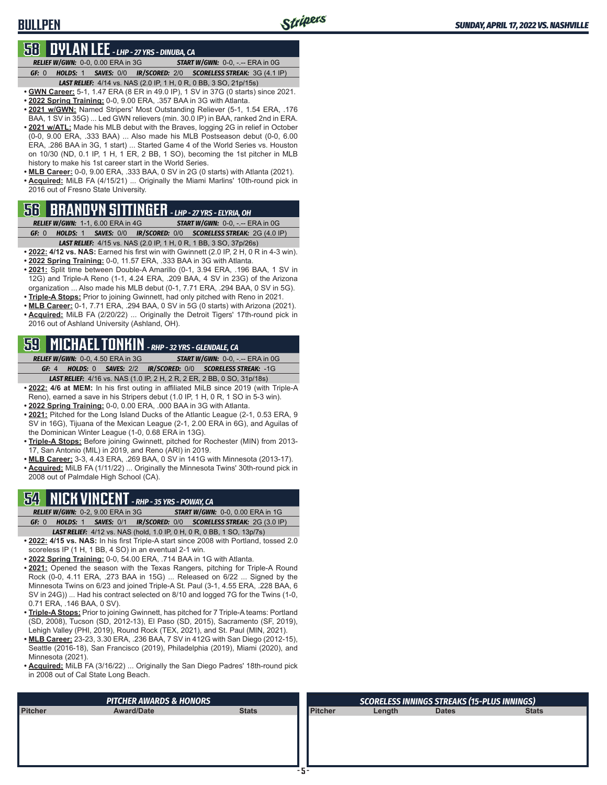### **BULLPEN**

### **58 DYLAN LEE** *- LHP - 27 YRS - DINUBA, CA*

*RELIEF W/GWN:*0-0, 0.00 ERA in 3G *START W/GWN:*0-0, -.-- ERA in 0G *GF:*0 *HOLDS:*1 *SAVES:*0/0 *IR/SCORED:*2/0 *SCORELESS STREAK:*3G (4.1 IP)

- *LAST RELIEF:*4/14 vs. NAS (2.0 IP, 1 H, 0 R, 0 BB, 3 SO, 21p/15s)
- **• GWN Career:** 5-1, 1.47 ERA (8 ER in 49.0 IP), 1 SV in 37G (0 starts) since 2021.
- **• 2022 Spring Training:** 0-0, 9.00 ERA, .357 BAA in 3G with Atlanta.
- **• 2021 w/GWN:** Named Stripers' Most Outstanding Reliever (5-1, 1.54 ERA, .176 BAA, 1 SV in 35G) ... Led GWN relievers (min. 30.0 IP) in BAA, ranked 2nd in ERA. **• 2021 w/ATL:** Made his MLB debut with the Braves, logging 2G in relief in October (0-0, 9.00 ERA, .333 BAA) ... Also made his MLB Postseason debut (0-0, 6.00 ERA, .286 BAA in 3G, 1 start) ... Started Game 4 of the World Series vs. Houston on 10/30 (ND, 0.1 IP, 1 H, 1 ER, 2 BB, 1 SO), becoming the 1st pitcher in MLB history to make his 1st career start in the World Series.
- **• MLB Career:** 0-0, 9.00 ERA, .333 BAA, 0 SV in 2G (0 starts) with Atlanta (2021). **• Acquired:** MiLB FA (4/15/21) ... Originally the Miami Marlins' 10th-round pick in

# **56 BRANDYN SITTINGER** *- LHP - 27 YRS - ELYRIA, OH*

2016 out of Fresno State University.

- *RELIEF W/GWN:*1-1, 6.00 ERA in 4G *START W/GWN:*0-0, -.-- ERA in 0G *GF:*0 *HOLDS:*1 *SAVES:*0/0 *IR/SCORED:*0/0 *SCORELESS STREAK:*2G (4.0 IP)
- *LAST RELIEF:*4/15 vs. NAS (2.0 IP, 1 H, 0 R, 1 BB, 3 SO, 37p/26s)
- **• 2022: 4/12 vs. NAS:** Earned his first win with Gwinnett (2.0 IP, 2 H, 0 R in 4-3 win). **• 2022 Spring Training:** 0-0, 11.57 ERA, .333 BAA in 3G with Atlanta.
- 2021: Split time between Double-A Amarillo (0-1, 3.94 ERA, .196 BAA, 1 SV in 12G) and Triple-A Reno (1-1, 4.24 ERA, .209 BAA, 4 SV in 23G) of the Arizona organization ... Also made his MLB debut (0-1, 7.71 ERA, .294 BAA, 0 SV in 5G).
- **• Triple-A Stops:** Prior to joining Gwinnett, had only pitched with Reno in 2021. **• MLB Career:** 0-1, 7.71 ERA, .294 BAA, 0 SV in 5G (0 starts) with Arizona (2021).
- **• Acquired:** MiLB FA (2/20/22) ... Originally the Detroit Tigers' 17th-round pick in 2016 out of Ashland University (Ashland, OH).

# **59 MICHAEL TONKIN** *- RHP - 32 YRS - GLENDALE, CA*

*RELIEF W/GWN:*0-0, 4.50 ERA in 3G *START W/GWN:*0-0, -.-- ERA in 0G *GF:*4 *HOLDS:*0 *SAVES:*2/2 *IR/SCORED:*0/0 *SCORELESS STREAK:*-1G *LAST RELIEF:*4/16 vs. NAS (1.0 IP, 2 H, 2 R, 2 ER, 2 BB, 0 SO, 31p/18s)

**• 2022: 4/6 at MEM:** In his first outing in affiliated MiLB since 2019 (with Triple-A Reno), earned a save in his Stripers debut (1.0 IP, 1 H, 0 R, 1 SO in 5-3 win).

- **• 2022 Spring Training:** 0-0, 0.00 ERA, .000 BAA in 3G with Atlanta.
- **• 2021:** Pitched for the Long Island Ducks of the Atlantic League (2-1, 0.53 ERA, 9 SV in 16G), Tijuana of the Mexican League (2-1, 2.00 ERA in 6G), and Aguilas of the Dominican Winter League (1-0, 0.68 ERA in 13G).
- **• Triple-A Stops:** Before joining Gwinnett, pitched for Rochester (MIN) from 2013- 17, San Antonio (MIL) in 2019, and Reno (ARI) in 2019.
- **• MLB Career:** 3-3, 4.43 ERA, .269 BAA, 0 SV in 141G with Minnesota (2013-17).
- **• Acquired:** MiLB FA (1/11/22) ... Originally the Minnesota Twins' 30th-round pick in 2008 out of Palmdale High School (CA).

### **54 NICK VINCENT** *- RHP - 35 YRS - POWAY, CA*

*RELIEF W/GWN:*0-2, 9.00 ERA in 3G *START W/GWN:*0-0, 0.00 ERA in 1G *GF:*0 *HOLDS:*1 *SAVES:*0/1 *IR/SCORED:*0/0 *SCORELESS STREAK:*2G (3.0 IP)

- *LAST RELIEF:*4/12 vs. NAS (hold, 1.0 IP, 0 H, 0 R, 0 BB, 1 SO, 13p/7s)
- **• 2022: 4/15 vs. NAS:** In his first Triple-A start since 2008 with Portland, tossed 2.0 scoreless IP (1 H, 1 BB, 4 SO) in an eventual 2-1 win.
- **• 2022 Spring Training:** 0-0, 54.00 ERA, .714 BAA in 1G with Atlanta.
- **• 2021:** Opened the season with the Texas Rangers, pitching for Triple-A Round Rock (0-0, 4.11 ERA, .273 BAA in 15G) ... Released on 6/22 ... Signed by the Minnesota Twins on 6/23 and joined Triple-A St. Paul (3-1, 4.55 ERA, .228 BAA, 6 SV in 24G)) ... Had his contract selected on 8/10 and logged 7G for the Twins (1-0, 0.71 ERA, .146 BAA, 0 SV).
- **• Triple-A Stops:** Prior to joining Gwinnett, has pitched for 7 Triple-A teams: Portland (SD, 2008), Tucson (SD, 2012-13), El Paso (SD, 2015), Sacramento (SF, 2019), Lehigh Valley (PHI, 2019), Round Rock (TEX, 2021), and St. Paul (MIN, 2021).
- **• MLB Career:** 23-23, 3.30 ERA, .236 BAA, 7 SV in 412G with San Diego (2012-15), Seattle (2016-18), San Francisco (2019), Philadelphia (2019), Miami (2020), and Minnesota (2021).
- **• Acquired:** MiLB FA (3/16/22) ... Originally the San Diego Padres' 18th-round pick in 2008 out of Cal State Long Beach.

|                | <b>PITCHER AWARDS &amp; HONORS</b> |              |                | <b>SCORELESS INNINGS STREAKS (15-PLUS INNINGS)</b> |              |              |  |  |  |  |  |
|----------------|------------------------------------|--------------|----------------|----------------------------------------------------|--------------|--------------|--|--|--|--|--|
| <b>Pitcher</b> | <b>Award/Date</b>                  | <b>Stats</b> | <b>Pitcher</b> | Length                                             | <b>Dates</b> | <b>Stats</b> |  |  |  |  |  |
|                |                                    |              |                |                                                    |              |              |  |  |  |  |  |
|                |                                    |              |                |                                                    |              |              |  |  |  |  |  |
|                |                                    |              |                |                                                    |              |              |  |  |  |  |  |
|                |                                    |              |                |                                                    |              |              |  |  |  |  |  |
|                |                                    |              |                |                                                    |              |              |  |  |  |  |  |
|                |                                    |              |                |                                                    |              |              |  |  |  |  |  |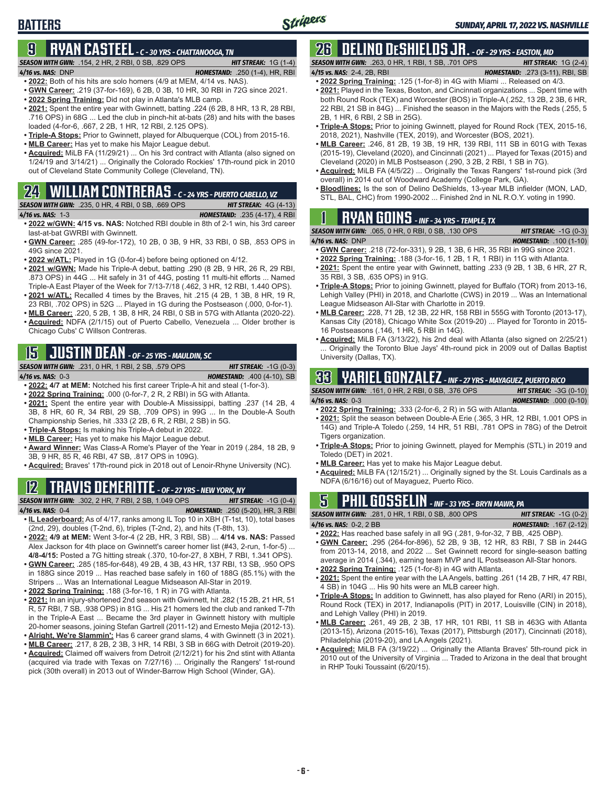# **BATTERS**

# **9 RYAN CASTEEL** *- C - 30 YRS - CHATTANOOGA, TN*

#### *SEASON WITH GWN:*.154, 2 HR, 2 RBI, 0 SB, .829 OPS *HIT STREAK:* 1G (1-4)

- *4/16 vs. NAS:*DNP *HOMESTAND:* .250 (1-4), HR, RBI **• 2022:** Both of his hits are solo homers (4/9 at MEM, 4/14 vs. NAS).
- **• GWN Career:** .219 (37-for-169), 6 2B, 0 3B, 10 HR, 30 RBI in 72G since 2021.
- 
- **• 2022 Spring Training:** Did not play in Atlanta's MLB camp.
- **• 2021:** Spent the entire year with Gwinnett, batting .224 (6 2B, 8 HR, 13 R, 28 RBI, .716 OPS) in 68G ... Led the club in pinch-hit at-bats (28) and hits with the bases loaded (4-for-6, .667, 2 2B, 1 HR, 12 RBI, 2.125 OPS).
- **• Triple-A Stops:** Prior to Gwinnett, played for Albuquerque (COL) from 2015-16.
- **• MLB Career:** Has yet to make his Major League debut.
- **• Acquired:** MiLB FA (11/29/21) ... On his 3rd contract with Atlanta (also signed on 1/24/19 and 3/14/21) ... Originally the Colorado Rockies' 17th-round pick in 2010 out of Cleveland State Community College (Cleveland, TN).

# **24 WILLIAM CONTRERAS** *- C - 24 YRS - PUERTO CABELLO, VZ*

*SEASON WITH GWN:*.235, 0 HR, 4 RBI, 0 SB, .669 OPS *HIT STREAK:* 4G (4-13)

*4/16 vs. NAS:*1-3 *HOMESTAND:* .235 (4-17), 4 RBI **• 2022 w/GWN: 4/15 vs. NAS:** Notched RBI double in 8th of 2-1 win, his 3rd career

- last-at-bat GWRBI with Gwinnett. **• GWN Career:** .285 (49-for-172), 10 2B, 0 3B, 9 HR, 33 RBI, 0 SB, .853 OPS in 49G since 2021.
- **• 2022 w/ATL:** Played in 1G (0-for-4) before being optioned on 4/12.
- **• 2021 w/GWN:** Made his Triple-A debut, batting .290 (8 2B, 9 HR, 26 R, 29 RBI, .873 OPS) in 44G ... Hit safely in 31 of 44G, posting 11 multi-hit efforts ... Named Triple-A East Player of the Week for 7/13-7/18 (.462, 3 HR, 12 RBI, 1.440 OPS). **• 2021 w/ATL:** Recalled 4 times by the Braves, hit .215 (4 2B, 1 3B, 8 HR, 19 R,
- 23 RBI, .702 OPS) in 52G ... Played in 1G during the Postseason (.000, 0-for-1). **• MLB Career:** .220, 5 2B, 1 3B, 8 HR, 24 RBI, 0 SB in 57G with Atlanta (2020-22).
- **• Acquired:** NDFA (2/1/15) out of Puerto Cabello, Venezuela ... Older brother is Chicago Cubs' C Willson Contreras.

# **15 JUSTIN DEAN** *- OF - 25 YRS - MAULDIN, SC*

*SEASON WITH GWN:*.231, 0 HR, 1 RBI, 2 SB, .579 OPS *HIT STREAK:* -1G (0-3) *4/16 vs. NAS:*0-3 *HOMESTAND:* .400 (4-10), SB

**• 2022: 4/7 at MEM:** Notched his first career Triple-A hit and steal (1-for-3).

- **• 2022 Spring Training:** .000 (0-for-7, 2 R, 2 RBI) in 5G with Atlanta.
- **• 2021:** Spent the entire year with Double-A Mississippi, batting .237 (14 2B, 4 3B, 8 HR, 60 R, 34 RBI, 29 SB, .709 OPS) in 99G ... In the Double-A South Championship Series, hit .333 (2 2B, 6 R, 2 RBI, 2 SB) in 5G.
- **• Triple-A Stops:** Is making his Triple-A debut in 2022.
- **• MLB Career:** Has yet to make his Major League debut.
- **• Award Winner:** Was Class-A Rome's Player of the Year in 2019 (.284, 18 2B, 9 3B, 9 HR, 85 R, 46 RBI, 47 SB, .817 OPS in 109G).
- **• Acquired:** Braves' 17th-round pick in 2018 out of Lenoir-Rhyne University (NC).

# **12 TRAVIS DEMERITTE** *- OF - 27 YRS - NEW YORK, NY*

*SEASON WITH GWN:*.302, 2 HR, 7 RBI, 2 SB, 1.049 OPS *HIT STREAK:* -1G (0-4) *4/16 vs. NAS:*0-4 *HOMESTAND:* .250 (5-20), HR, 3 RBI

- **• IL Leaderboard:** As of 4/17, ranks among IL Top 10 in XBH (T-1st, 10), total bases (2nd, 29), doubles (T-2nd, 6), triples (T-2nd, 2), and hits (T-8th, 13).
- **• 2022: 4/9 at MEM:** Went 3-for-4 (2 2B, HR, 3 RBI, SB) ... **4/14 vs. NAS:** Passed Alex Jackson for 4th place on Gwinnett's career homer list (#43, 2-run, 1-for-5) ... **4/8-4/15:** Posted a 7G hitting streak (.370, 10-for-27, 8 XBH, 7 RBI, 1.341 OPS).
- **• GWN Career:** .285 (185-for-648), 49 2B, 4 3B, 43 HR, 137 RBI, 13 SB, .950 OPS in 188G since 2019 ... Has reached base safely in 160 of 188G (85.1%) with the Stripers ... Was an International League Midseason All-Star in 2019.
- **• 2022 Spring Training:** .188 (3-for-16, 1 R) in 7G with Atlanta.
- **• 2021:** In an injury-shortened 2nd season with Gwinnett, hit .282 (15 2B, 21 HR, 51 R, 57 RBI, 7 SB, .938 OPS) in 81G ... His 21 homers led the club and ranked T-7th in the Triple-A East ... Became the 3rd player in Gwinnett history with multiple 20-homer seasons, joining Stefan Gartrell (2011-12) and Ernesto Mejia (2012-13).
- **• Alright, We're Slammin':** Has 6 career grand slams, 4 with Gwinnett (3 in 2021).
- **• MLB Career:** .217, 8 2B, 2 3B, 3 HR, 14 RBI, 3 SB in 66G with Detroit (2019-20).
- **• Acquired:** Claimed off waivers from Detroit (2/12/21) for his 2nd stint with Atlanta (acquired via trade with Texas on 7/27/16) ... Originally the Rangers' 1st-round pick (30th overall) in 2013 out of Winder-Barrow High School (Winder, GA).

# **26 DELINO DESHIELDS JR.** *- OF - 29 YRS - EASTON, MD*

*SEASON WITH GWN:*.263, 0 HR, 1 RBI, 1 SB, .701 OPS *HIT STREAK:* 1G (2-4) *4/15 vs. NAS:*2-4, 2B, RBI *HOMESTAND:* .273 (3-11), RBI, SB

- 
- **• 2022 Spring Training:** .125 (1-for-8) in 4G with Miami ... Released on 4/3. **• 2021:** Played in the Texas, Boston, and Cincinnati organizations ... Spent time with both Round Rock (TEX) and Worcester (BOS) in Triple-A (.252, 13 2B, 2 3B, 6 HR, 22 RBI, 21 SB in 84G) ... Finished the season in the Majors with the Reds (.255, 5 2B, 1 HR, 6 RBI, 2 SB in 25G).
- **• Triple-A Stops:** Prior to joining Gwinnett, played for Round Rock (TEX, 2015-16, 2018, 2021), Nashville (TEX, 2019), and Worcester (BOS, 2021).
- **• MLB Career:** .246, 81 2B, 19 3B, 19 HR, 139 RBI, 111 SB in 601G with Texas (2015-19), Cleveland (2020), and Cincinnati (2021) ... Played for Texas (2015) and Cleveland (2020) in MLB Postseason (.290, 3 2B, 2 RBI, 1 SB in 7G).
- **• Acquired:** MiLB FA (4/5/22) ... Originally the Texas Rangers' 1st-round pick (3rd overall) in 2014 out of Woodward Academy (College Park, GA).
- **• Bloodlines:** Is the son of Delino DeShields, 13-year MLB infielder (MON, LAD, STL, BAL, CHC) from 1990-2002 ... Finished 2nd in NL R.O.Y. voting in 1990.

# **1 RYAN GOINS** *- INF - 34 YRS - TEMPLE, TX*

*SEASON WITH GWN:*.065, 0 HR, 0 RBI, 0 SB, .130 OPS *HIT STREAK:* -1G (0-3)

- 
- *4/16 vs. NAS:*DNP *HOMESTAND:* .100 (1-10) **• GWN Career:** .218 (72-for-331), 9 2B, 1 3B, 6 HR, 35 RBI in 99G since 2021.
- **• 2022 Spring Training:** .188 (3-for-16, 1 2B, 1 R, 1 RBI) in 11G with Atlanta.
- **• 2021:** Spent the entire year with Gwinnett, batting .233 (9 2B, 1 3B, 6 HR, 27 R, 35 RBI, 3 SB, .635 OPS) in 91G.
- **• Triple-A Stops:** Prior to joining Gwinnett, played for Buffalo (TOR) from 2013-16, Lehigh Valley (PHI) in 2018, and Charlotte (CWS) in 2019 ... Was an International League Midseason All-Star with Charlotte in 2019.
- **• MLB Career:** .228, 71 2B, 12 3B, 22 HR, 158 RBI in 555G with Toronto (2013-17), Kansas City (2018), Chicago White Sox (2019-20) ... Played for Toronto in 2015- 16 Postseasons (.146, 1 HR, 5 RBI in 14G).
- **• Acquired:** MiLB FA (3/13/22), his 2nd deal with Atlanta (also signed on 2/25/21) Originally the Toronto Blue Jays' 4th-round pick in 2009 out of Dallas Baptist University (Dallas, TX).

# **33 YARIEL GONZALEZ** *- INF - 27 YRS - MAYAGUEZ, PUERTO RICO*

*SEASON WITH GWN:*.161, 0 HR, 2 RBI, 0 SB, .376 OPS *HIT STREAK:* -3G (0-10) *4/16 vs. NAS:*0-3 *HOMESTAND:* .000 (0-10)

- **• 2022 Spring Training:** .333 (2-for-6, 2 R) in 5G with Atlanta.
- **• 2021:** Split the season between Double-A Erie (.365, 3 HR, 12 RBI, 1.001 OPS in 14G) and Triple-A Toledo (.259, 14 HR, 51 RBI, .781 OPS in 78G) of the Detroit Tigers organization.
- **• Triple-A Stops:** Prior to joining Gwinnett, played for Memphis (STL) in 2019 and Toledo (DET) in 2021.
- **• MLB Career:** Has yet to make his Major League debut.
- **• Acquired:** MiLB FA (12/15/21) ... Originally signed by the St. Louis Cardinals as a NDFA (6/16/16) out of Mayaguez, Puerto Rico.

# **5 PHIL GOSSELIN** *- INF - 33 YRS - BRYN MAWR, PA*

*SEASON WITH GWN:*.281, 0 HR, 1 RBI, 0 SB, .800 OPS *HIT STREAK:* -1G (0-2) *4/16 vs. NAS:*0-2, 2 BB *HOMESTAND:* .167 (2-12)

- **• 2022:** Has reached base safely in all 9G (.281, 9-for-32, 7 BB, .425 OBP). **• GWN Career:** .295 (264-for-896), 52 2B, 9 3B, 12 HR, 83 RBI, 7 SB in 244G from 2013-14, 2018, and 2022 ... Set Gwinnett record for single-season batting average in 2014 (.344), earning team MVP and IL Postseason All-Star honors.
- **• 2022 Spring Training:** .125 (1-for-8) in 4G with Atlanta.
- **• 2021:** Spent the entire year with the LA Angels, batting .261 (14 2B, 7 HR, 47 RBI, 4 SB) in 104G ... His 90 hits were an MLB career high.
- **• Triple-A Stops:** In addition to Gwinnett, has also played for Reno (ARI) in 2015), Round Rock (TEX) in 2017, Indianapolis (PIT) in 2017, Louisville (CIN) in 2018), and Lehigh Valley (PHI) in 2019.
- **• MLB Career:** .261, 49 2B, 2 3B, 17 HR, 101 RBI, 11 SB in 463G with Atlanta (2013-15), Arizona (2015-16), Texas (2017), Pittsburgh (2017), Cincinnati (2018), Philadelphia (2019-20), and LA Angels (2021).
- **• Acquired:** MiLB FA (3/19/22) ... Originally the Atlanta Braves' 5th-round pick in 2010 out of the University of Virginia ... Traded to Arizona in the deal that brought in RHP Touki Toussaint (6/20/15).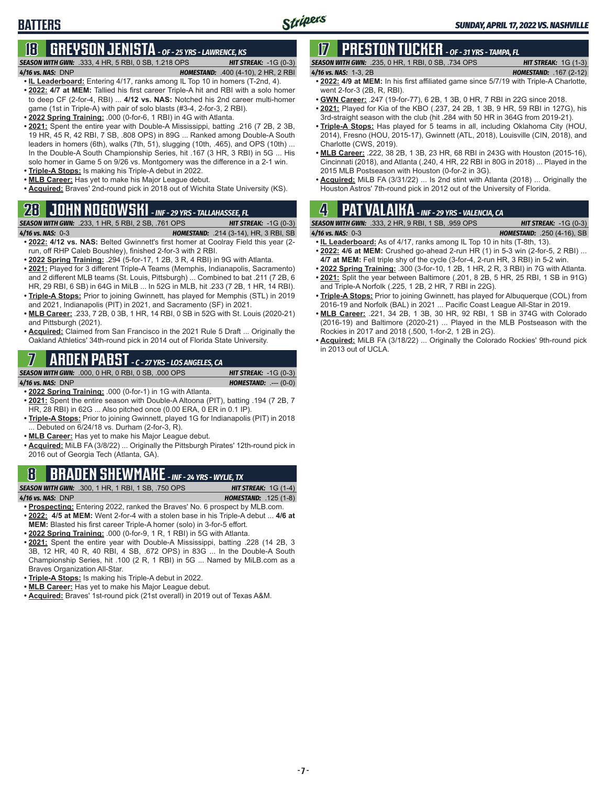# **BATTERS**

# **18 GREYSON JENISTA** *- OF - 25 YRS - LAWRENCE, KS*

#### *SEASON WITH GWN:*.333, 4 HR, 5 RBI, 0 SB, 1.218 OPS *HIT STREAK:* -1G (0-3) *4/16 vs. NAS:*DNP *HOMESTAND:* .400 (4-10), 2 HR, 2 RBI

- **• IL Leaderboard:** Entering 4/17, ranks among IL Top 10 in homers (T-2nd, 4).
- **• 2022: 4/7 at MEM:** Tallied his first career Triple-A hit and RBI with a solo homer to deep CF (2-for-4, RBI) ... **4/12 vs. NAS:** Notched his 2nd career multi-homer game (1st in Triple-A) with pair of solo blasts (#3-4, 2-for-3, 2 RBI).
- **• 2022 Spring Training:** .000 (0-for-6, 1 RBI) in 4G with Atlanta.
- **• 2021:** Spent the entire year with Double-A Mississippi, batting .216 (7 2B, 2 3B, 19 HR, 45 R, 42 RBI, 7 SB, .808 OPS) in 89G ... Ranked among Double-A South leaders in homers (6th), walks (7th, 51), slugging (10th, .465), and OPS (10th) ... In the Double-A South Championship Series, hit .167 (3 HR, 3 RBI) in 5G ... His solo homer in Game 5 on 9/26 vs. Montgomery was the difference in a 2-1 win.
- **• Triple-A Stops:** Is making his Triple-A debut in 2022.
- **• MLB Career:** Has yet to make his Major League debut.
- **• Acquired:** Braves' 2nd-round pick in 2018 out of Wichita State University (KS).

### **28 JOHN NOGOWSKI** *- INF - 29 YRS - TALLAHASSEE, FL*

*SEASON WITH GWN:*.233, 1 HR, 5 RBI, 2 SB, .761 OPS *HIT STREAK:* -1G (0-3) *4/16 vs. NAS:*0-3 *HOMESTAND:* .214 (3-14), HR, 3 RBI, SB **• 2022: 4/12 vs. NAS:** Belted Gwinnett's first homer at Coolray Field this year (2-

- run, off RHP Caleb Boushley), finished 2-for-3 with 2 RBI.
- **• 2022 Spring Training:** .294 (5-for-17, 1 2B, 3 R, 4 RBI) in 9G with Atlanta. **• 2021:** Played for 3 different Triple-A Teams (Memphis, Indianapolis, Sacramento) and 2 different MLB teams (St. Louis, Pittsburgh) ... Combined to bat .211 (7 2B, 6 HR, 29 RBI, 6 SB) in 64G in MiLB ... In 52G in MLB, hit .233 (7 2B, 1 HR, 14 RBI). **• Triple-A Stops:** Prior to joining Gwinnett, has played for Memphis (STL) in 2019
- and 2021, Indianapolis (PIT) in 2021, and Sacramento (SF) in 2021. **• MLB Career:** .233, 7 2B, 0 3B, 1 HR, 14 RBI, 0 SB in 52G with St. Louis (2020-21)
- and Pittsburgh (2021). **• Acquired:** Claimed from San Francisco in the 2021 Rule 5 Draft ... Originally the Oakland Athletics' 34th-round pick in 2014 out of Florida State University.

### **7 ARDEN PABST** *- C - 27 YRS - LOS ANGELES, CA*

#### *SEASON WITH GWN:*.000, 0 HR, 0 RBI, 0 SB, .000 OPS *HIT STREAK:* -1G (0-3)

*4/16 vs. NAS:*DNP *HOMESTAND:* .--- (0-0)

**• 2022 Spring Training:** .000 (0-for-1) in 1G with Atlanta.

- **• 2021:** Spent the entire season with Double-A Altoona (PIT), batting .194 (7 2B, 7 HR, 28 RBI) in 62G ... Also pitched once (0.00 ERA, 0 ER in 0.1 IP).
- **• Triple-A Stops:** Prior to joining Gwinnett, played 1G for Indianapolis (PIT) in 2018 ... Debuted on 6/24/18 vs. Durham (2-for-3, R).
- **• MLB Career:** Has yet to make his Major League debut.
- **• Acquired:** MiLB FA (3/8/22) ... Originally the Pittsburgh Pirates' 12th-round pick in 2016 out of Georgia Tech (Atlanta, GA).

### **8 BRADEN SHEWMAKE** *- INF - 24 YRS - WYLIE, TX*

*SEASON WITH GWN:*.300, 1 HR, 1 RBI, 1 SB, .750 OPS *HIT STREAK:* 1G (1-4)

*4/16 vs. NAS:*DNP *HOMESTAND:* .125 (1-8)

- **• Prospecting:** Entering 2022, ranked the Braves' No. 6 prospect by MLB.com. **• 2022: 4/5 at MEM:** Went 2-for-4 with a stolen base in his Triple-A debut ... **4/6 at MEM:** Blasted his first career Triple-A homer (solo) in 3-for-5 effort.
- **• 2022 Spring Training:** .000 (0-for-9, 1 R, 1 RBI) in 5G with Atlanta.
- **• 2021:** Spent the entire year with Double-A Mississippi, batting .228 (14 2B, 3 3B, 12 HR, 40 R, 40 RBI, 4 SB, .672 OPS) in 83G ... In the Double-A South Championship Series, hit .100 (2 R, 1 RBI) in 5G ... Named by MiLB.com as a Braves Organization All-Star.
- **• Triple-A Stops:** Is making his Triple-A debut in 2022.
- **• MLB Career:** Has yet to make his Major League debut.
- **• Acquired:** Braves' 1st-round pick (21st overall) in 2019 out of Texas A&M.

# **17 PRESTON TUCKER** *- OF - 31 YRS - TAMPA, FL*

| <b>SEASON WITH GWN:</b> .235, 0 HR, 1 RBI, 0 SB, .734 OPS | <b>HIT STREAK:</b> $1G(1-3)$  |
|-----------------------------------------------------------|-------------------------------|
| 4/16 vs. NAS: 1-3, 2B                                     | <b>HOMESTAND: .167 (2-12)</b> |
|                                                           |                               |

- **• 2022: 4/9 at MEM:** In his first affiliated game since 5/7/19 with Triple-A Charlotte, went 2-for-3 (2B, R, RBI).
- **• GWN Career:** .247 (19-for-77), 6 2B, 1 3B, 0 HR, 7 RBI in 22G since 2018.
- **• 2021:** Played for Kia of the KBO (.237, 24 2B, 1 3B, 9 HR, 59 RBI in 127G), his 3rd-straight season with the club (hit .284 with 50 HR in 364G from 2019-21).
- **• Triple-A Stops:** Has played for 5 teams in all, including Oklahoma City (HOU, 2014), Fresno (HOU, 2015-17), Gwinnett (ATL, 2018), Louisville (CIN, 2018), and Charlotte (CWS, 2019).
- **• MLB Career:** .222, 38 2B, 1 3B, 23 HR, 68 RBI in 243G with Houston (2015-16), Cincinnati (2018), and Atlanta (.240, 4 HR, 22 RBI in 80G in 2018) ... Played in the 2015 MLB Postseason with Houston (0-for-2 in 3G).
- **• Acquired:** MiLB FA (3/31/22) ... Is 2nd stint with Atlanta (2018) ... Originally the Houston Astros' 7th-round pick in 2012 out of the University of Florida.

## **4 PAT VALAIKA** *- INF - 29 YRS - VALENCIA, CA*

*SEASON WITH GWN:*.333, 2 HR, 9 RBI, 1 SB, .959 OPS *HIT STREAK:* -1G (0-3)

*4/16 vs. NAS:*0-3 *HOMESTAND:* .250 (4-16), SB

- **• IL Leaderboard:** As of 4/17, ranks among IL Top 10 in hits (T-8th, 13). **• 2022: 4/6 at MEM:** Crushed go-ahead 2-run HR (1) in 5-3 win (2-for-5, 2 RBI) ... **4/7 at MEM:** Fell triple shy of the cycle (3-for-4, 2-run HR, 3 RBI) in 5-2 win.
- **• 2022 Spring Training:** .300 (3-for-10, 1 2B, 1 HR, 2 R, 3 RBI) in 7G with Atlanta.
- **• 2021:** Split the year between Baltimore (.201, 8 2B, 5 HR, 25 RBI, 1 SB in 91G) and Triple-A Norfolk (.225, 1 2B, 2 HR, 7 RBI in 22G).
- **• Triple-A Stops:** Prior to joining Gwinnett, has played for Albuquerque (COL) from 2016-19 and Norfolk (BAL) in 2021 ... Pacific Coast League All-Star in 2019.
- **• MLB Career:** .221, 34 2B, 1 3B, 30 HR, 92 RBI, 1 SB in 374G with Colorado (2016-19) and Baltimore (2020-21) ... Played in the MLB Postseason with the Rockies in 2017 and 2018 (.500, 1-for-2, 1 2B in 2G).
- **• Acquired:** MiLB FA (3/18/22) ... Originally the Colorado Rockies' 9th-round pick in 2013 out of UCLA.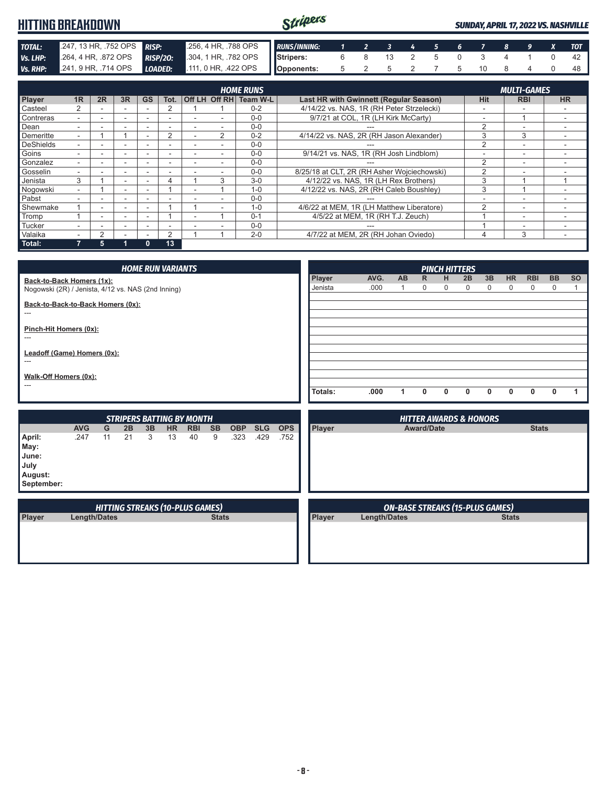|                 | <b>HITTING BREAKDOWN</b> | Stripers        |                      |                     |   |  |  |  | <b>SUNDAY, APRIL 17, 2022 VS. NASHVILLE</b> |  |    |  |                    |  |            |
|-----------------|--------------------------|-----------------|----------------------|---------------------|---|--|--|--|---------------------------------------------|--|----|--|--------------------|--|------------|
| <b>TOTAL:</b>   | .247, 13 HR, .752 OPS    | <b>RISP:</b>    | .256, 4 HR, .788 OPS | <b>RUNS/INNING:</b> |   |  |  |  |                                             |  |    |  |                    |  | <b>TOT</b> |
| Vs. LHP:        | .264, 4 HR, .872 OPS     | <b>RISP/20:</b> | 304, 1 HR, 782 OPS   | <b>Stripers:</b>    | 6 |  |  |  |                                             |  |    |  |                    |  | 42         |
| <b>Vs. RHP:</b> | 241, 9 HR, .714 OPS      | LOADED:         | .111, 0 HR, .422 OPS | Opponents:          |   |  |  |  |                                             |  | 10 |  |                    |  | 48         |
|                 | <b>HOME RUNS</b>         |                 |                      |                     |   |  |  |  |                                             |  |    |  | <b>MULTI-GAMES</b> |  |            |

| <b>HOME RUNS</b> |    |    |    |              |                |  |                          |                        |                                             | <b>MULTI-GAMES</b> |                          |           |
|------------------|----|----|----|--------------|----------------|--|--------------------------|------------------------|---------------------------------------------|--------------------|--------------------------|-----------|
| Player           | 1R | 2R | 3R | <b>GS</b>    | Tot.           |  |                          | Off LH Off RH Team W-L | Last HR with Gwinnett (Regular Season)      | <b>Hit</b>         | <b>RBI</b>               | <b>HR</b> |
| Casteel          |    |    |    |              |                |  |                          | $0 - 2$                | 4/14/22 vs. NAS, 1R (RH Peter Strzelecki)   |                    |                          |           |
| Contreras        |    |    |    |              |                |  |                          | $0 - 0$                | 9/7/21 at COL, 1R (LH Kirk McCarty)         |                    |                          |           |
| Dean             |    |    |    |              |                |  |                          | $0 - 0$                |                                             |                    |                          |           |
| Demeritte        |    |    |    |              | $\mathfrak{p}$ |  | 2                        | $0 - 2$                | 4/14/22 vs. NAS, 2R (RH Jason Alexander)    |                    | 3                        |           |
| <b>DeShields</b> |    |    |    |              |                |  |                          | $0 - 0$                |                                             | ◠                  | $\overline{\phantom{0}}$ |           |
| Goins            |    |    |    |              |                |  |                          | $0 - 0$                | 9/14/21 vs. NAS, 1R (RH Josh Lindblom)      |                    |                          |           |
| Gonzalez         |    |    |    |              |                |  |                          | $0 - 0$                |                                             | $\Omega$           | $\sim$                   |           |
| Gosselin         |    |    |    |              |                |  |                          | $0 - 0$                | 8/25/18 at CLT, 2R (RH Asher Wojciechowski) |                    |                          |           |
| Jenista          |    |    |    |              | 4              |  | 3                        | $3-0$                  | 4/12/22 vs. NAS, 1R (LH Rex Brothers)       |                    |                          |           |
| Nogowski         |    |    |    |              |                |  |                          | $1 - 0$                | 4/12/22 vs. NAS, 2R (RH Caleb Boushley)     | 3                  |                          |           |
| Pabst            |    |    |    |              |                |  |                          | $0 - 0$                |                                             |                    |                          |           |
| Shewmake         |    |    |    |              |                |  | $\overline{\phantom{a}}$ | $1 - 0$                | 4/6/22 at MEM. 1R (LH Matthew Liberatore)   | $\sim$             | -                        |           |
| Tromp            |    |    |    |              |                |  |                          | $0 - 1$                | 4/5/22 at MEM, 1R (RH T.J. Zeuch)           |                    |                          |           |
| Tucker           |    |    |    |              |                |  |                          | $0 - 0$                |                                             |                    |                          |           |
| Valaika          |    | っ  |    |              | 2              |  |                          | $2 - 0$                | 4/7/22 at MEM. 2R (RH Johan Oviedo)         | 4                  | 3                        |           |
| Total:           |    | 5  |    | $\mathbf{0}$ | 13             |  |                          |                        |                                             |                    |                          |           |

| <b>HOME RUN VARIANTS</b>                                                        |                     |    |    |    |           |                                        |              |            |            |            |                   | <b>PINCH HITTERS</b> |                                        |                   |        |                                   |                   |                |                           |                          |           |
|---------------------------------------------------------------------------------|---------------------|----|----|----|-----------|----------------------------------------|--------------|------------|------------|------------|-------------------|----------------------|----------------------------------------|-------------------|--------|-----------------------------------|-------------------|----------------|---------------------------|--------------------------|-----------|
| Back-to-Back Homers (1x):<br>Nogowski (2R) / Jenista, 4/12 vs. NAS (2nd Inning) |                     |    |    |    |           |                                        |              |            |            |            | Player<br>Jenista | AVG.<br>.000         | <b>AB</b><br>$\mathbf 1$               | $\mathsf{R}$<br>0 | н<br>0 | 2B<br>0                           | 3B<br>$\mathbf 0$ | <b>HR</b><br>0 | <b>RBI</b><br>$\mathbf 0$ | <b>BB</b><br>$\mathbf 0$ | <b>SO</b> |
| Back-to-Back-to-Back Homers (0x):<br>---                                        |                     |    |    |    |           |                                        |              |            |            |            |                   |                      |                                        |                   |        |                                   |                   |                |                           |                          |           |
| Pinch-Hit Homers (0x):<br>---                                                   |                     |    |    |    |           |                                        |              |            |            |            |                   |                      |                                        |                   |        |                                   |                   |                |                           |                          |           |
| Leadoff (Game) Homers (0x):<br>---                                              |                     |    |    |    |           |                                        |              |            |            |            |                   |                      |                                        |                   |        |                                   |                   |                |                           |                          |           |
| Walk-Off Homers (0x):<br>---                                                    |                     |    |    |    |           |                                        |              |            |            |            |                   |                      |                                        |                   |        |                                   |                   |                |                           |                          |           |
|                                                                                 |                     |    |    |    |           |                                        |              |            |            |            | Totals:           | .000                 | 1                                      | $\mathbf{0}$      | 0      | 0                                 | $\mathbf{0}$      | 0              | 0                         | 0                        | 1         |
|                                                                                 |                     |    |    |    |           | <b>STRIPERS BATTING BY MONTH</b>       |              |            |            |            |                   |                      |                                        |                   |        | <b>HITTER AWARDS &amp; HONORS</b> |                   |                |                           |                          |           |
|                                                                                 | <b>AVG</b>          | G  | 2B | 3B | <b>HR</b> | <b>RBI</b>                             | <b>SB</b>    | <b>OBP</b> | <b>SLG</b> | <b>OPS</b> | Player            |                      |                                        | <b>Award/Date</b> |        |                                   |                   |                | <b>Stats</b>              |                          |           |
| April:<br>May:<br>June:<br>July<br>August:<br>September:                        | .247                | 11 | 21 | 3  | 13        | 40                                     | 9            | .323       | .429       | .752       |                   |                      |                                        |                   |        |                                   |                   |                |                           |                          |           |
|                                                                                 |                     |    |    |    |           | <b>HITTING STREAKS (10-PLUS GAMES)</b> |              |            |            |            |                   |                      | <b>ON-BASE STREAKS (15-PLUS GAMES)</b> |                   |        |                                   |                   |                |                           |                          |           |
| Player                                                                          | <b>Length/Dates</b> |    |    |    |           |                                        | <b>Stats</b> |            |            |            | <b>Player</b>     | <b>Length/Dates</b>  |                                        |                   |        |                                   |                   | <b>Stats</b>   |                           |                          |           |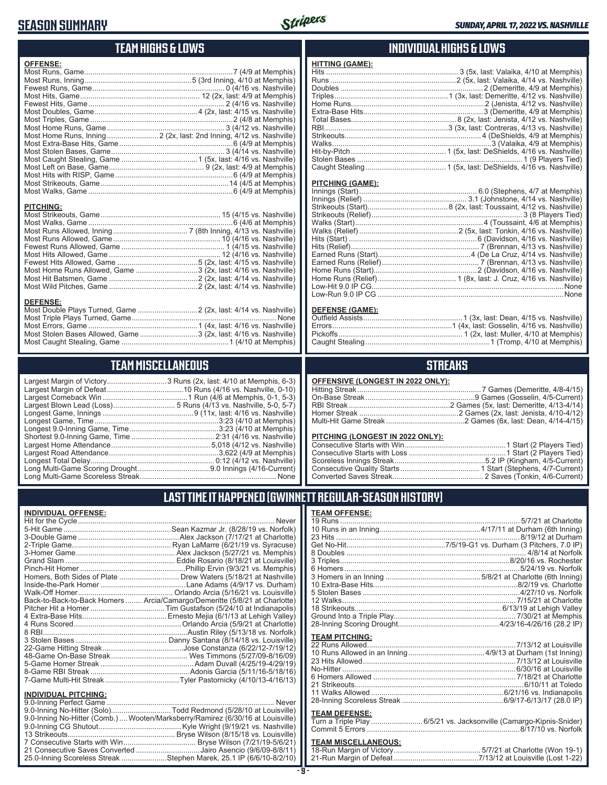### **SEASON SUMMARY**



### **TEAM HIGHS & LOWS**

| <b>OFFENSE:</b>  |                                                                     |
|------------------|---------------------------------------------------------------------|
|                  |                                                                     |
|                  |                                                                     |
|                  |                                                                     |
|                  |                                                                     |
|                  |                                                                     |
|                  |                                                                     |
|                  |                                                                     |
|                  |                                                                     |
|                  | Most Home Runs, Inning 2 (2x, last: 2nd Inning, 4/12 vs. Nashville) |
|                  |                                                                     |
|                  |                                                                     |
|                  |                                                                     |
|                  |                                                                     |
|                  |                                                                     |
|                  |                                                                     |
|                  |                                                                     |
|                  |                                                                     |
|                  |                                                                     |
| <b>PITCHING:</b> |                                                                     |
|                  |                                                                     |
|                  |                                                                     |
|                  |                                                                     |
|                  |                                                                     |
|                  |                                                                     |
|                  |                                                                     |
|                  |                                                                     |
|                  | Most Home Runs Allowed, Game 3 (2x, last: 4/16 vs. Nashville)       |
|                  |                                                                     |
|                  |                                                                     |
|                  |                                                                     |
| <b>DEFENSE:</b>  |                                                                     |
|                  | Most Double Plays Turned, Game  2 (2x, last: 4/14 vs. Nashville)    |
|                  |                                                                     |
|                  |                                                                     |
|                  | Most Stolen Bases Allowed, Game 3 (2x, last: 4/16 vs. Nashville)    |

### **TEAM MISCELLANEOUS**

| Largest Margin of Victory3 Runs (2x, last: 4/10 at Memphis, 6-3)                                                       |
|------------------------------------------------------------------------------------------------------------------------|
|                                                                                                                        |
|                                                                                                                        |
|                                                                                                                        |
|                                                                                                                        |
|                                                                                                                        |
|                                                                                                                        |
|                                                                                                                        |
|                                                                                                                        |
|                                                                                                                        |
|                                                                                                                        |
|                                                                                                                        |
| Long Multi-Game Scoreless Streak <b>Contract Contract Contract Contract Contract Contract Contract Contract Contra</b> |

#### Nashville) Memphis) Memphis) Nashville) Nashville) Memphis) Nashville) Long Multimary<br>16-Current) ......... None

### **INDIVIDUAL HIGHS & LOWS**

| Caught Stealing…………………………………… 1 (5x, last: DeShields, 4/16 vs. Nashville) |
|---------------------------------------------------------------------------|
|                                                                           |

#### **PITCHING (GAME):**

| . None |
|--------|
|        |

#### **DEFENSE (GAME):**

### **STREAKS**

|  |  | OFFENSIVE (LONGEST IN 2022 ONLY): |
|--|--|-----------------------------------|
|--|--|-----------------------------------|

#### **PITCHING (LONGEST IN 2022 ONLY):**

### **LAST TIME IT HAPPENED (GWINNETT REGULAR-SEASON HISTORY)**

#### **INDIVIDUAL OFFENSE:**

|                                                        | Homers, Both Sides of Plate ………………………… Drew Waters (5/18/21 at Nashville)  |
|--------------------------------------------------------|----------------------------------------------------------------------------|
|                                                        |                                                                            |
|                                                        |                                                                            |
|                                                        | Back-to-Back-to-Back Homers  Arcia/Camargo/Demeritte (5/8/21 at Charlotte) |
|                                                        |                                                                            |
|                                                        |                                                                            |
|                                                        |                                                                            |
|                                                        |                                                                            |
|                                                        |                                                                            |
|                                                        |                                                                            |
|                                                        |                                                                            |
|                                                        |                                                                            |
|                                                        |                                                                            |
|                                                        |                                                                            |
|                                                        |                                                                            |
| <b>INDIVIDUAL PITCHING:</b><br>0.0 Inning Perfect Came | Nover                                                                      |
|                                                        |                                                                            |

| <b>INDIVIDUAL FILUIIIIVU.</b>                                                  |  |
|--------------------------------------------------------------------------------|--|
|                                                                                |  |
|                                                                                |  |
| 9.0-Inning No-Hitter (Comb.) Wooten/Marksberry/Ramirez (6/30/16 at Louisville) |  |
|                                                                                |  |
|                                                                                |  |
|                                                                                |  |
| 21 Consecutive Saves Converted Jairo Asencio (9/6/09-8/8/11)                   |  |
| 25.0-Inning Scoreless Streak Stephen Marek, 25.1 IP (6/6/10-8/2/10)            |  |
|                                                                                |  |

#### **TEAM OFFENSE:**

| <b>TEAM PITCHING:</b> |  |
|-----------------------|--|
|                       |  |
|                       |  |
|                       |  |
|                       |  |
|                       |  |
|                       |  |
|                       |  |
|                       |  |
|                       |  |
| <b>TEAM DEFENSE:</b>  |  |
|                       |  |
|                       |  |

## **TEAM MISCELLANEOUS:**<br>18-Run Margin of Victory....